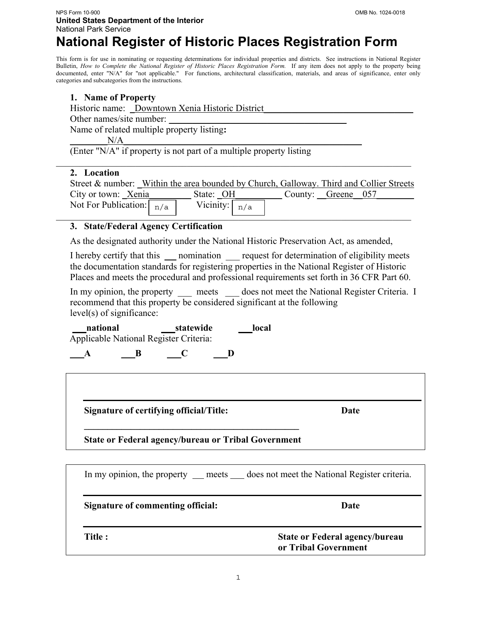## **National Register of Historic Places Registration Form**

This form is for use in nominating or requesting determinations for individual properties and districts. See instructions in National Register Bulletin, *How to Complete the National Register of Historic Places Registration Form.* If any item does not apply to the property being documented, enter "N/A" for "not applicable." For functions, architectural classification, materials, and areas of significance, enter only categories and subcategories from the instructions.

## **1. Name of Property**

|                          | Historic name: Downtown Xenia Historic District |  |
|--------------------------|-------------------------------------------------|--|
| Other names/site number: |                                                 |  |
|                          | Name of related multiple property listing:      |  |
| N/A                      |                                                 |  |

(Enter "N/A" if property is not part of a multiple property listing

#### **2. Location**

| Street & number: Within the area bounded by Church, Galloway. Third and Collier Streets |                 |                    |  |  |
|-----------------------------------------------------------------------------------------|-----------------|--------------------|--|--|
| City or town: Xenia                                                                     | State: OH       | County: Greene 057 |  |  |
| Not For Publication: $\lceil \frac{n}{a} \rceil$                                        | Vicinity: $n/a$ |                    |  |  |
|                                                                                         |                 |                    |  |  |

 $\mathcal{L}_\mathcal{L} = \{ \mathcal{L}_\mathcal{L} = \{ \mathcal{L}_\mathcal{L} = \{ \mathcal{L}_\mathcal{L} = \{ \mathcal{L}_\mathcal{L} = \{ \mathcal{L}_\mathcal{L} = \{ \mathcal{L}_\mathcal{L} = \{ \mathcal{L}_\mathcal{L} = \{ \mathcal{L}_\mathcal{L} = \{ \mathcal{L}_\mathcal{L} = \{ \mathcal{L}_\mathcal{L} = \{ \mathcal{L}_\mathcal{L} = \{ \mathcal{L}_\mathcal{L} = \{ \mathcal{L}_\mathcal{L} = \{ \mathcal{L}_\mathcal{$ 

#### **3. State/Federal Agency Certification**

As the designated authority under the National Historic Preservation Act, as amended,

I hereby certify that this nomination request for determination of eligibility meets the documentation standards for registering properties in the National Register of Historic Places and meets the procedural and professional requirements set forth in 36 CFR Part 60.

In my opinion, the property meets does not meet the National Register Criteria. I recommend that this property be considered significant at the following level(s) of significance:

 **\_\_\_national \_\_\_statewide \_\_\_local** Applicable National Register Criteria:

**\_\_\_A \_\_\_B \_\_\_C \_\_\_D** 

**Signature of certifying official/Title: Date** 

**\_\_\_\_\_\_\_\_\_\_\_\_\_\_\_\_\_\_\_\_\_\_\_\_\_\_\_\_\_\_\_\_\_\_\_\_\_\_\_\_\_\_\_\_\_\_ State or Federal agency/bureau or Tribal Government** 

|                                   | In my opinion, the property ___ meets ____ does not meet the National Register criteria. |  |
|-----------------------------------|------------------------------------------------------------------------------------------|--|
| Signature of commenting official: | Date                                                                                     |  |
| Title :                           | <b>State or Federal agency/bureau</b><br>or Tribal Government                            |  |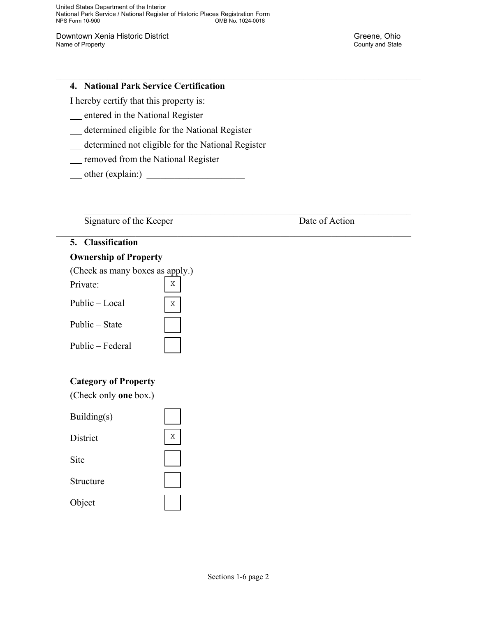United States Department of the Interior National Park Service / National Register of Historic Places Registration Form OMB No. 1024-0018

Downtown Xenia Historic District **Downtown Xenia Historic District County and State County and State County and State County and State County and State County and State County and State County and State County and State County and State County and State** 

#### **4. National Park Service Certification**

I hereby certify that this property is:

- entered in the National Register
- determined eligible for the National Register
- determined not eligible for the National Register

X

X

 $\mathcal{L}_\mathcal{L} = \mathcal{L}_\mathcal{L} = \mathcal{L}_\mathcal{L} = \mathcal{L}_\mathcal{L} = \mathcal{L}_\mathcal{L} = \mathcal{L}_\mathcal{L} = \mathcal{L}_\mathcal{L} = \mathcal{L}_\mathcal{L} = \mathcal{L}_\mathcal{L} = \mathcal{L}_\mathcal{L} = \mathcal{L}_\mathcal{L} = \mathcal{L}_\mathcal{L} = \mathcal{L}_\mathcal{L} = \mathcal{L}_\mathcal{L} = \mathcal{L}_\mathcal{L} = \mathcal{L}_\mathcal{L} = \mathcal{L}_\mathcal{L}$ 

 $\mathcal{L}_\text{max} = \mathcal{L}_\text{max} = \mathcal{L}_\text{max} = \mathcal{L}_\text{max} = \mathcal{L}_\text{max} = \mathcal{L}_\text{max} = \mathcal{L}_\text{max} = \mathcal{L}_\text{max} = \mathcal{L}_\text{max} = \mathcal{L}_\text{max} = \mathcal{L}_\text{max} = \mathcal{L}_\text{max} = \mathcal{L}_\text{max} = \mathcal{L}_\text{max} = \mathcal{L}_\text{max} = \mathcal{L}_\text{max} = \mathcal{L}_\text{max} = \mathcal{L}_\text{max} = \mathcal{$ 

 $\mathcal{L}_\mathcal{L} = \{ \mathcal{L}_\mathcal{L} = \{ \mathcal{L}_\mathcal{L} = \{ \mathcal{L}_\mathcal{L} = \{ \mathcal{L}_\mathcal{L} = \{ \mathcal{L}_\mathcal{L} = \{ \mathcal{L}_\mathcal{L} = \{ \mathcal{L}_\mathcal{L} = \{ \mathcal{L}_\mathcal{L} = \{ \mathcal{L}_\mathcal{L} = \{ \mathcal{L}_\mathcal{L} = \{ \mathcal{L}_\mathcal{L} = \{ \mathcal{L}_\mathcal{L} = \{ \mathcal{L}_\mathcal{L} = \{ \mathcal{L}_\mathcal{$ 

- removed from the National Register
- $\Box$  other (explain:)  $\Box$

Signature of the Keeper Date of Action

#### **5. Classification**

#### **Ownership of Property**

(Check as many boxes as apply.)

Public – Local

| Public – Federal |  |
|------------------|--|

#### **Category of Property**

(Check only **one** box.)

| Building(s)     |   |
|-----------------|---|
| <b>District</b> | Χ |
| Site            |   |
| Structure       |   |
| Object          |   |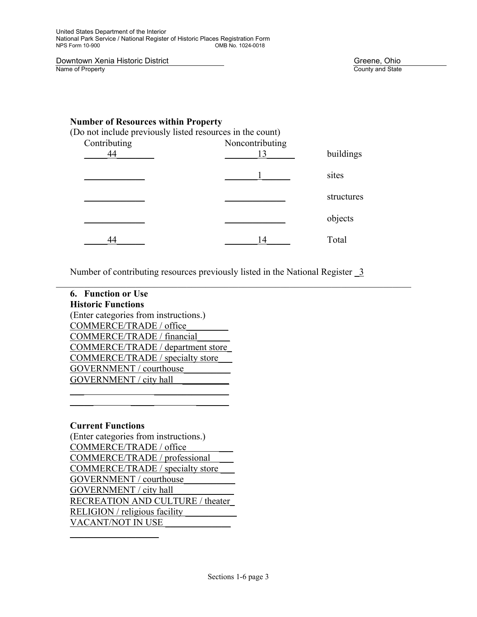**Downtown Xenia Historic District** Community Community Community Community Community Country and State Country and State

#### **Number of Resources within Property**

(Do not include previously listed resources in the count)

| Contributing | Noncontributing<br>13 | buildings  |
|--------------|-----------------------|------------|
|              |                       | sites      |
|              |                       | structures |
|              |                       | objects    |
|              | 14                    | Total      |

Number of contributing resources previously listed in the National Register \_3

 $\_$  , and the set of the set of the set of the set of the set of the set of the set of the set of the set of the set of the set of the set of the set of the set of the set of the set of the set of the set of the set of th

| <b>6. Function or Use</b>                |
|------------------------------------------|
| <b>Historic Functions</b>                |
| (Enter categories from instructions.)    |
| COMMERCE/TRADE / office                  |
| COMMERCE/TRADE / financial               |
| <b>COMMERCE/TRADE / department store</b> |
| <b>COMMERCE/TRADE</b> / specialty store  |
| GOVERNMENT / courthouse                  |
| GOVERNMENT / city hall                   |
|                                          |

 $\frac{1}{2}$  ,  $\frac{1}{2}$  ,  $\frac{1}{2}$  ,  $\frac{1}{2}$  ,  $\frac{1}{2}$  ,  $\frac{1}{2}$  ,  $\frac{1}{2}$  ,  $\frac{1}{2}$  ,  $\frac{1}{2}$  ,  $\frac{1}{2}$  ,  $\frac{1}{2}$  ,  $\frac{1}{2}$  ,  $\frac{1}{2}$  ,  $\frac{1}{2}$  ,  $\frac{1}{2}$  ,  $\frac{1}{2}$  ,  $\frac{1}{2}$  ,  $\frac{1}{2}$  ,  $\frac{1$ 

#### **Current Functions**

 $\mathcal{L}=\frac{1}{2}$  , where  $\mathcal{L}=\frac{1}{2}$  , where  $\mathcal{L}=\frac{1}{2}$ 

(Enter categories from instructions.) COMMERCE/TRADE / office \_\_\_ COMMERCE/TRADE / professional \_\_\_ COMMERCE/TRADE / specialty store \_\_\_ GOVERNMENT / courthouse\_\_\_\_\_\_\_\_\_\_\_ GOVERNMENT / city hall RECREATION AND CULTURE / theater\_ RELIGION / religious facility VACANT/NOT IN USE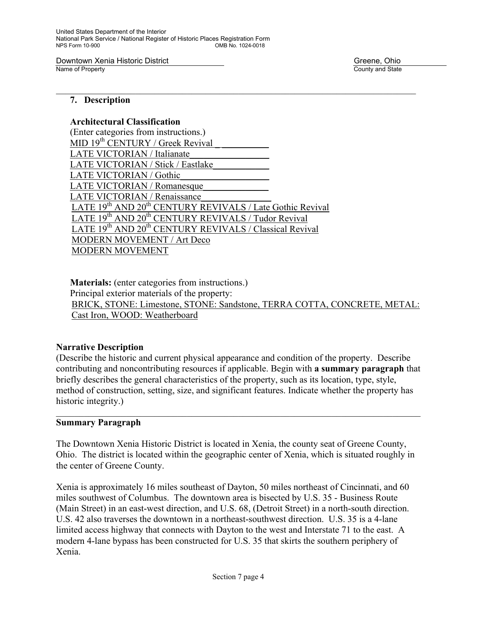United States Department of the Interior National Park Service / National Register of Historic Places Registration Form OMB No. 1024-0018

Downtown Xenia Historic District Greene, Ohio Greene, Ohio Greene, Ohio Greene, Ohio Greene, Ohio Greene, Ohio

County and State

#### **7. Description**

#### **Architectural Classification**

(Enter categories from instructions.) MID  $19<sup>th</sup>$  CENTURY / Greek Revival LATE VICTORIAN / Italianate LATE VICTORIAN / Stick / Eastlake LATE VICTORIAN / Gothic LATE VICTORIAN / Romanesque LATE VICTORIAN / Renaissance LATE 19<sup>th</sup> AND 20<sup>th</sup> CENTURY REVIVALS / Late Gothic Revival LATE 19<sup>th</sup> AND 20<sup>th</sup> CENTURY REVIVALS / Tudor Revival LATE 19<sup>th</sup> AND 20<sup>th</sup> CENTURY REVIVALS / Classical Revival MODERN MOVEMENT / Art Deco MODERN MOVEMENT

**Materials:** (enter categories from instructions.) Principal exterior materials of the property: BRICK, STONE: Limestone, STONE: Sandstone, TERRA COTTA, CONCRETE, METAL: Cast Iron, WOOD: Weatherboard

 $\mathcal{L}_\mathcal{L} = \{ \mathcal{L}_\mathcal{L} = \{ \mathcal{L}_\mathcal{L} = \{ \mathcal{L}_\mathcal{L} = \{ \mathcal{L}_\mathcal{L} = \{ \mathcal{L}_\mathcal{L} = \{ \mathcal{L}_\mathcal{L} = \{ \mathcal{L}_\mathcal{L} = \{ \mathcal{L}_\mathcal{L} = \{ \mathcal{L}_\mathcal{L} = \{ \mathcal{L}_\mathcal{L} = \{ \mathcal{L}_\mathcal{L} = \{ \mathcal{L}_\mathcal{L} = \{ \mathcal{L}_\mathcal{L} = \{ \mathcal{L}_\mathcal{$ 

#### **Narrative Description**

(Describe the historic and current physical appearance and condition of the property. Describe contributing and noncontributing resources if applicable. Begin with **a summary paragraph** that briefly describes the general characteristics of the property, such as its location, type, style, method of construction, setting, size, and significant features. Indicate whether the property has historic integrity.)

 $\_$  , and the contribution of the contribution of the contribution of the contribution of  $\mathcal{L}_\text{max}$ 

#### **Summary Paragraph**

The Downtown Xenia Historic District is located in Xenia, the county seat of Greene County, Ohio. The district is located within the geographic center of Xenia, which is situated roughly in the center of Greene County.

Xenia is approximately 16 miles southeast of Dayton, 50 miles northeast of Cincinnati, and 60 miles southwest of Columbus. The downtown area is bisected by U.S. 35 - Business Route (Main Street) in an east-west direction, and U.S. 68, (Detroit Street) in a north-south direction. U.S. 42 also traverses the downtown in a northeast-southwest direction. U.S. 35 is a 4-lane limited access highway that connects with Dayton to the west and Interstate 71 to the east. A modern 4-lane bypass has been constructed for U.S. 35 that skirts the southern periphery of Xenia.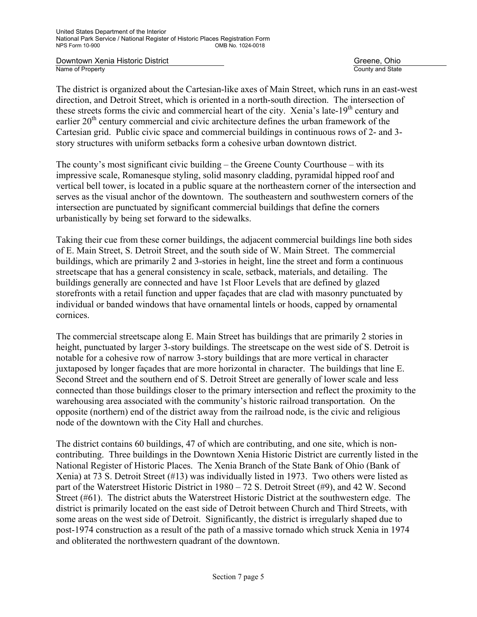**Downtown Xenia Historic District** Greene, Ohio **Greene, Ohio**<br>
Name of Property Greene, Ohio

County and State

The district is organized about the Cartesian-like axes of Main Street, which runs in an east-west direction, and Detroit Street, which is oriented in a north-south direction. The intersection of these streets forms the civic and commercial heart of the city. Xenia's late-19<sup>th</sup> century and earlier 20<sup>th</sup> century commercial and civic architecture defines the urban framework of the Cartesian grid. Public civic space and commercial buildings in continuous rows of 2- and 3 story structures with uniform setbacks form a cohesive urban downtown district.

The county's most significant civic building – the Greene County Courthouse – with its impressive scale, Romanesque styling, solid masonry cladding, pyramidal hipped roof and vertical bell tower, is located in a public square at the northeastern corner of the intersection and serves as the visual anchor of the downtown. The southeastern and southwestern corners of the intersection are punctuated by significant commercial buildings that define the corners urbanistically by being set forward to the sidewalks.

Taking their cue from these corner buildings, the adjacent commercial buildings line both sides of E. Main Street, S. Detroit Street, and the south side of W. Main Street. The commercial buildings, which are primarily 2 and 3-stories in height, line the street and form a continuous streetscape that has a general consistency in scale, setback, materials, and detailing. The buildings generally are connected and have 1st Floor Levels that are defined by glazed storefronts with a retail function and upper façades that are clad with masonry punctuated by individual or banded windows that have ornamental lintels or hoods, capped by ornamental cornices.

The commercial streetscape along E. Main Street has buildings that are primarily 2 stories in height, punctuated by larger 3-story buildings. The streetscape on the west side of S. Detroit is notable for a cohesive row of narrow 3-story buildings that are more vertical in character juxtaposed by longer façades that are more horizontal in character. The buildings that line E. Second Street and the southern end of S. Detroit Street are generally of lower scale and less connected than those buildings closer to the primary intersection and reflect the proximity to the warehousing area associated with the community's historic railroad transportation. On the opposite (northern) end of the district away from the railroad node, is the civic and religious node of the downtown with the City Hall and churches.

The district contains 60 buildings, 47 of which are contributing, and one site, which is noncontributing. Three buildings in the Downtown Xenia Historic District are currently listed in the National Register of Historic Places. The Xenia Branch of the State Bank of Ohio (Bank of Xenia) at 73 S. Detroit Street (#13) was individually listed in 1973. Two others were listed as part of the Waterstreet Historic District in 1980 – 72 S. Detroit Street (#9), and 42 W. Second Street (#61). The district abuts the Waterstreet Historic District at the southwestern edge. The district is primarily located on the east side of Detroit between Church and Third Streets, with some areas on the west side of Detroit. Significantly, the district is irregularly shaped due to post-1974 construction as a result of the path of a massive tornado which struck Xenia in 1974 and obliterated the northwestern quadrant of the downtown.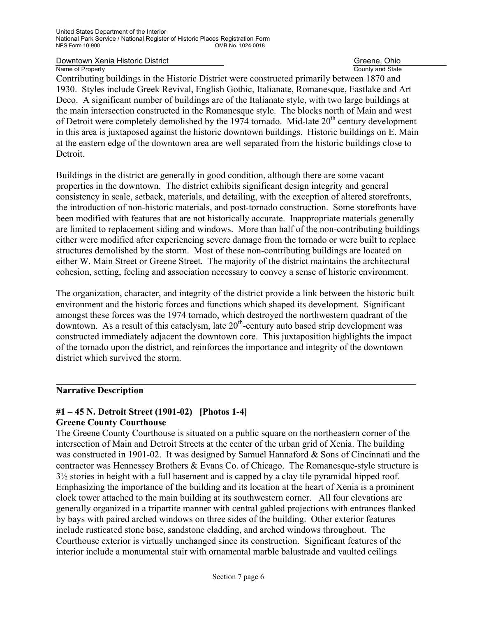County and State

Contributing buildings in the Historic District were constructed primarily between 1870 and 1930. Styles include Greek Revival, English Gothic, Italianate, Romanesque, Eastlake and Art Deco. A significant number of buildings are of the Italianate style, with two large buildings at the main intersection constructed in the Romanesque style. The blocks north of Main and west of Detroit were completely demolished by the  $1974$  tornado. Mid-late  $20<sup>th</sup>$  century development in this area is juxtaposed against the historic downtown buildings. Historic buildings on E. Main at the eastern edge of the downtown area are well separated from the historic buildings close to Detroit.

Buildings in the district are generally in good condition, although there are some vacant properties in the downtown. The district exhibits significant design integrity and general consistency in scale, setback, materials, and detailing, with the exception of altered storefronts, the introduction of non-historic materials, and post-tornado construction. Some storefronts have been modified with features that are not historically accurate. Inappropriate materials generally are limited to replacement siding and windows. More than half of the non-contributing buildings either were modified after experiencing severe damage from the tornado or were built to replace structures demolished by the storm. Most of these non-contributing buildings are located on either W. Main Street or Greene Street. The majority of the district maintains the architectural cohesion, setting, feeling and association necessary to convey a sense of historic environment.

The organization, character, and integrity of the district provide a link between the historic built environment and the historic forces and functions which shaped its development. Significant amongst these forces was the 1974 tornado, which destroyed the northwestern quadrant of the downtown. As a result of this cataclysm, late  $20<sup>th</sup>$ -century auto based strip development was constructed immediately adjacent the downtown core. This juxtaposition highlights the impact of the tornado upon the district, and reinforces the importance and integrity of the downtown district which survived the storm.

 $\mathcal{L}_\mathcal{L} = \{ \mathcal{L}_\mathcal{L} = \{ \mathcal{L}_\mathcal{L} = \{ \mathcal{L}_\mathcal{L} = \{ \mathcal{L}_\mathcal{L} = \{ \mathcal{L}_\mathcal{L} = \{ \mathcal{L}_\mathcal{L} = \{ \mathcal{L}_\mathcal{L} = \{ \mathcal{L}_\mathcal{L} = \{ \mathcal{L}_\mathcal{L} = \{ \mathcal{L}_\mathcal{L} = \{ \mathcal{L}_\mathcal{L} = \{ \mathcal{L}_\mathcal{L} = \{ \mathcal{L}_\mathcal{L} = \{ \mathcal{L}_\mathcal{$ 

#### **Narrative Description**

#### **#1 – 45 N. Detroit Street (1901-02) [Photos 1-4] Greene County Courthouse**

The Greene County Courthouse is situated on a public square on the northeastern corner of the intersection of Main and Detroit Streets at the center of the urban grid of Xenia. The building was constructed in 1901-02. It was designed by Samuel Hannaford & Sons of Cincinnati and the contractor was Hennessey Brothers & Evans Co. of Chicago. The Romanesque-style structure is 3½ stories in height with a full basement and is capped by a clay tile pyramidal hipped roof. Emphasizing the importance of the building and its location at the heart of Xenia is a prominent clock tower attached to the main building at its southwestern corner. All four elevations are generally organized in a tripartite manner with central gabled projections with entrances flanked by bays with paired arched windows on three sides of the building. Other exterior features include rusticated stone base, sandstone cladding, and arched windows throughout. The Courthouse exterior is virtually unchanged since its construction. Significant features of the interior include a monumental stair with ornamental marble balustrade and vaulted ceilings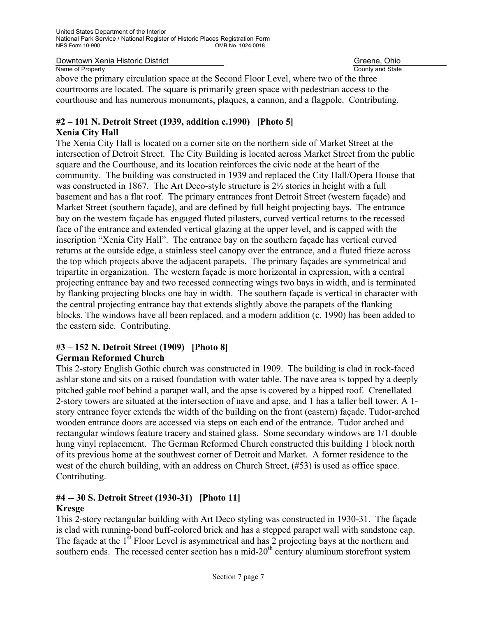County and State

above the primary circulation space at the Second Floor Level, where two of the three courtrooms are located. The square is primarily green space with pedestrian access to the courthouse and has numerous monuments, plaques, a cannon, and a flagpole. Contributing.

#### **#2 – 101 N. Detroit Street (1939, addition c.1990) [Photo 5] Xenia City Hall**

#### The Xenia City Hall is located on a corner site on the northern side of Market Street at the intersection of Detroit Street. The City Building is located across Market Street from the public square and the Courthouse, and its location reinforces the civic node at the heart of the community. The building was constructed in 1939 and replaced the City Hall/Opera House that was constructed in 1867. The Art Deco-style structure is 2½ stories in height with a full basement and has a flat roof. The primary entrances front Detroit Street (western façade) and Market Street (southern façade), and are defined by full height projecting bays. The entrance bay on the western façade has engaged fluted pilasters, curved vertical returns to the recessed face of the entrance and extended vertical glazing at the upper level, and is capped with the inscription "Xenia City Hall". The entrance bay on the southern façade has vertical curved returns at the outside edge, a stainless steel canopy over the entrance, and a fluted frieze across the top which projects above the adjacent parapets. The primary façades are symmetrical and tripartite in organization. The western façade is more horizontal in expression, with a central projecting entrance bay and two recessed connecting wings two bays in width, and is terminated by flanking projecting blocks one bay in width. The southern façade is vertical in character with the central projecting entrance bay that extends slightly above the parapets of the flanking blocks. The windows have all been replaced, and a modern addition (c. 1990) has been added to the eastern side. Contributing.

#### **#3 – 152 N. Detroit Street (1909) [Photo 8] German Reformed Church**

This 2-story English Gothic church was constructed in 1909. The building is clad in rock-faced ashlar stone and sits on a raised foundation with water table. The nave area is topped by a deeply pitched gable roof behind a parapet wall, and the apse is covered by a hipped roof. Crenellated 2-story towers are situated at the intersection of nave and apse, and 1 has a taller bell tower. A 1 story entrance foyer extends the width of the building on the front (eastern) façade. Tudor-arched wooden entrance doors are accessed via steps on each end of the entrance. Tudor arched and rectangular windows feature tracery and stained glass. Some secondary windows are 1/1 double hung vinyl replacement. The German Reformed Church constructed this building 1 block north of its previous home at the southwest corner of Detroit and Market. A former residence to the west of the church building, with an address on Church Street, (#53) is used as office space. Contributing.

#### **#4 -- 30 S. Detroit Street (1930-31) [Photo 11] Kresge**

This 2-story rectangular building with Art Deco styling was constructed in 1930-31. The façade is clad with running-bond buff-colored brick and has a stepped parapet wall with sandstone cap. The façade at the 1<sup>st</sup> Floor Level is asymmetrical and has 2 projecting bays at the northern and southern ends. The recessed center section has a mid- $20<sup>th</sup>$  century aluminum storefront system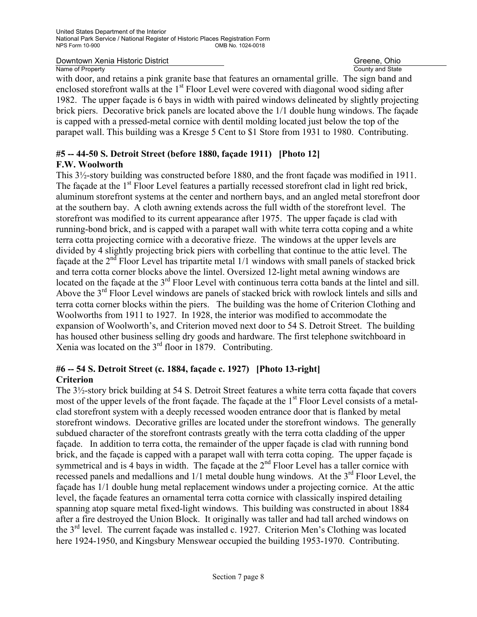County and State

with door, and retains a pink granite base that features an ornamental grille. The sign band and enclosed storefront walls at the 1<sup>st</sup> Floor Level were covered with diagonal wood siding after 1982. The upper façade is 6 bays in width with paired windows delineated by slightly projecting brick piers. Decorative brick panels are located above the 1/1 double hung windows. The façade is capped with a pressed-metal cornice with dentil molding located just below the top of the parapet wall. This building was a Kresge 5 Cent to \$1 Store from 1931 to 1980. Contributing.

#### **#5 -- 44-50 S. Detroit Street (before 1880, façade 1911) [Photo 12] F.W. Woolworth**

This 3½-story building was constructed before 1880, and the front façade was modified in 1911. The façade at the 1<sup>st</sup> Floor Level features a partially recessed storefront clad in light red brick, aluminum storefront systems at the center and northern bays, and an angled metal storefront door at the southern bay. A cloth awning extends across the full width of the storefront level. The storefront was modified to its current appearance after 1975. The upper façade is clad with running-bond brick, and is capped with a parapet wall with white terra cotta coping and a white terra cotta projecting cornice with a decorative frieze. The windows at the upper levels are divided by 4 slightly projecting brick piers with corbelling that continue to the attic level. The façade at the  $2<sup>nd</sup>$  Floor Level has tripartite metal 1/1 windows with small panels of stacked brick and terra cotta corner blocks above the lintel. Oversized 12-light metal awning windows are located on the façade at the 3<sup>rd</sup> Floor Level with continuous terra cotta bands at the lintel and sill. Above the  $3<sup>rd</sup>$  Floor Level windows are panels of stacked brick with rowlock lintels and sills and terra cotta corner blocks within the piers. The building was the home of Criterion Clothing and Woolworths from 1911 to 1927. In 1928, the interior was modified to accommodate the expansion of Woolworth's, and Criterion moved next door to 54 S. Detroit Street. The building has housed other business selling dry goods and hardware. The first telephone switchboard in Xenia was located on the 3rd floor in 1879. Contributing.

#### **#6 -- 54 S. Detroit Street (c. 1884, façade c. 1927) [Photo 13-right] Criterion**

The 3½-story brick building at 54 S. Detroit Street features a white terra cotta façade that covers most of the upper levels of the front façade. The façade at the 1<sup>st</sup> Floor Level consists of a metalclad storefront system with a deeply recessed wooden entrance door that is flanked by metal storefront windows. Decorative grilles are located under the storefront windows. The generally subdued character of the storefront contrasts greatly with the terra cotta cladding of the upper façade. In addition to terra cotta, the remainder of the upper façade is clad with running bond brick, and the façade is capped with a parapet wall with terra cotta coping. The upper façade is symmetrical and is 4 bays in width. The façade at the  $2<sup>nd</sup>$  Floor Level has a taller cornice with recessed panels and medallions and  $1/1$  metal double hung windows. At the  $3<sup>rd</sup>$  Floor Level, the façade has 1/1 double hung metal replacement windows under a projecting cornice. At the attic level, the façade features an ornamental terra cotta cornice with classically inspired detailing spanning atop square metal fixed-light windows. This building was constructed in about 1884 after a fire destroyed the Union Block. It originally was taller and had tall arched windows on the  $3<sup>rd</sup>$  level. The current facade was installed c. 1927. Criterion Men's Clothing was located here 1924-1950, and Kingsbury Menswear occupied the building 1953-1970. Contributing.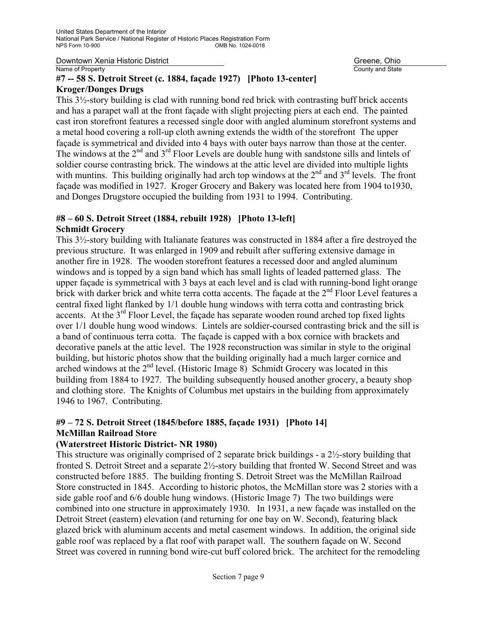County and State

#### **#7 -- 58 S. Detroit Street (c. 1884, façade 1927) [Photo 13-center] Kroger/Donges Drugs**

This 3½-story building is clad with running bond red brick with contrasting buff brick accents and has a parapet wall at the front façade with slight projecting piers at each end. The painted cast iron storefront features a recessed single door with angled aluminum storefront systems and a metal hood covering a roll-up cloth awning extends the width of the storefront The upper façade is symmetrical and divided into 4 bays with outer bays narrow than those at the center. The windows at the 2<sup>nd</sup> and 3<sup>rd</sup> Floor Levels are double hung with sandstone sills and lintels of soldier course contrasting brick. The windows at the attic level are divided into multiple lights with muntins. This building originally had arch top windows at the  $2<sup>nd</sup>$  and  $3<sup>rd</sup>$  levels. The front façade was modified in 1927. Kroger Grocery and Bakery was located here from 1904 to1930, and Donges Drugstore occupied the building from 1931 to 1994. Contributing.

#### **#8 – 60 S. Detroit Street (1884, rebuilt 1928) [Photo 13-left] Schmidt Grocery**

This 3½-story building with Italianate features was constructed in 1884 after a fire destroyed the previous structure. It was enlarged in 1909 and rebuilt after suffering extensive damage in another fire in 1928. The wooden storefront features a recessed door and angled aluminum windows and is topped by a sign band which has small lights of leaded patterned glass. The upper façade is symmetrical with 3 bays at each level and is clad with running-bond light orange brick with darker brick and white terra cotta accents. The facade at the 2<sup>nd</sup> Floor Level features a central fixed light flanked by 1/1 double hung windows with terra cotta and contrasting brick accents. At the  $3<sup>rd</sup>$  Floor Level, the facade has separate wooden round arched top fixed lights over 1/1 double hung wood windows. Lintels are soldier-coursed contrasting brick and the sill is a band of continuous terra cotta. The façade is capped with a box cornice with brackets and decorative panels at the attic level. The 1928 reconstruction was similar in style to the original building, but historic photos show that the building originally had a much larger cornice and arched windows at the  $2<sup>nd</sup>$  level. (Historic Image 8) Schmidt Grocery was located in this building from 1884 to 1927. The building subsequently housed another grocery, a beauty shop and clothing store. The Knights of Columbus met upstairs in the building from approximately 1946 to 1967. Contributing.

#### **#9 – 72 S. Detroit Street (1845/before 1885, façade 1931) [Photo 14] McMillan Railroad Store**

#### **(Waterstreet Historic District- NR 1980)**

This structure was originally comprised of 2 separate brick buildings - a 2½-story building that fronted S. Detroit Street and a separate 2½-story building that fronted W. Second Street and was constructed before 1885. The building fronting S. Detroit Street was the McMillan Railroad Store constructed in 1845. According to historic photos, the McMillan store was 2 stories with a side gable roof and 6/6 double hung windows. (Historic Image 7) The two buildings were combined into one structure in approximately 1930. In 1931, a new façade was installed on the Detroit Street (eastern) elevation (and returning for one bay on W. Second), featuring black glazed brick with aluminum accents and metal casement windows. In addition, the original side gable roof was replaced by a flat roof with parapet wall. The southern façade on W. Second Street was covered in running bond wire-cut buff colored brick. The architect for the remodeling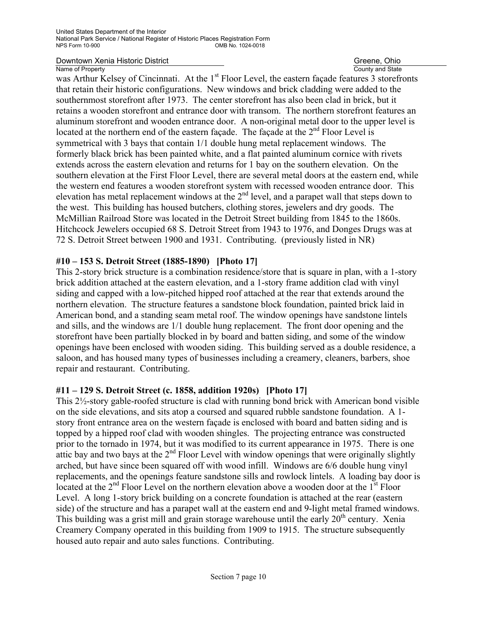County and State

was Arthur Kelsey of Cincinnati. At the 1<sup>st</sup> Floor Level, the eastern façade features 3 storefronts that retain their historic configurations. New windows and brick cladding were added to the southernmost storefront after 1973. The center storefront has also been clad in brick, but it retains a wooden storefront and entrance door with transom. The northern storefront features an aluminum storefront and wooden entrance door. A non-original metal door to the upper level is located at the northern end of the eastern façade. The façade at the  $2<sup>nd</sup>$  Floor Level is symmetrical with 3 bays that contain 1/1 double hung metal replacement windows. The formerly black brick has been painted white, and a flat painted aluminum cornice with rivets extends across the eastern elevation and returns for 1 bay on the southern elevation. On the southern elevation at the First Floor Level, there are several metal doors at the eastern end, while the western end features a wooden storefront system with recessed wooden entrance door. This elevation has metal replacement windows at the  $2<sup>nd</sup>$  level, and a parapet wall that steps down to the west. This building has housed butchers, clothing stores, jewelers and dry goods. The McMillian Railroad Store was located in the Detroit Street building from 1845 to the 1860s. Hitchcock Jewelers occupied 68 S. Detroit Street from 1943 to 1976, and Donges Drugs was at 72 S. Detroit Street between 1900 and 1931. Contributing. (previously listed in NR)

#### **#10 – 153 S. Detroit Street (1885-1890) [Photo 17]**

This 2-story brick structure is a combination residence/store that is square in plan, with a 1-story brick addition attached at the eastern elevation, and a 1-story frame addition clad with vinyl siding and capped with a low-pitched hipped roof attached at the rear that extends around the northern elevation. The structure features a sandstone block foundation, painted brick laid in American bond, and a standing seam metal roof. The window openings have sandstone lintels and sills, and the windows are 1/1 double hung replacement. The front door opening and the storefront have been partially blocked in by board and batten siding, and some of the window openings have been enclosed with wooden siding. This building served as a double residence, a saloon, and has housed many types of businesses including a creamery, cleaners, barbers, shoe repair and restaurant. Contributing.

#### **#11 – 129 S. Detroit Street (c. 1858, addition 1920s) [Photo 17]**

This 2½-story gable-roofed structure is clad with running bond brick with American bond visible on the side elevations, and sits atop a coursed and squared rubble sandstone foundation. A 1 story front entrance area on the western façade is enclosed with board and batten siding and is topped by a hipped roof clad with wooden shingles. The projecting entrance was constructed prior to the tornado in 1974, but it was modified to its current appearance in 1975. There is one attic bay and two bays at the  $2<sup>nd</sup>$  Floor Level with window openings that were originally slightly arched, but have since been squared off with wood infill. Windows are 6/6 double hung vinyl replacements, and the openings feature sandstone sills and rowlock lintels. A loading bay door is located at the  $2<sup>nd</sup>$  Floor Level on the northern elevation above a wooden door at the  $1<sup>st</sup>$  Floor Level. A long 1-story brick building on a concrete foundation is attached at the rear (eastern side) of the structure and has a parapet wall at the eastern end and 9-light metal framed windows. This building was a grist mill and grain storage warehouse until the early  $20<sup>th</sup>$  century. Xenia Creamery Company operated in this building from 1909 to 1915. The structure subsequently housed auto repair and auto sales functions. Contributing.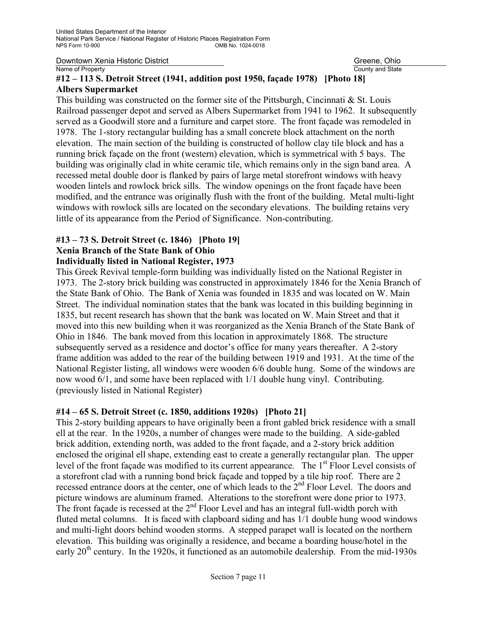County and State

### **#12 – 113 S. Detroit Street (1941, addition post 1950, façade 1978) [Photo 18] Albers Supermarket**

This building was constructed on the former site of the Pittsburgh, Cincinnati & St. Louis Railroad passenger depot and served as Albers Supermarket from 1941 to 1962. It subsequently served as a Goodwill store and a furniture and carpet store. The front façade was remodeled in 1978. The 1-story rectangular building has a small concrete block attachment on the north elevation. The main section of the building is constructed of hollow clay tile block and has a running brick façade on the front (western) elevation, which is symmetrical with 5 bays. The building was originally clad in white ceramic tile, which remains only in the sign band area. A recessed metal double door is flanked by pairs of large metal storefront windows with heavy wooden lintels and rowlock brick sills. The window openings on the front façade have been modified, and the entrance was originally flush with the front of the building. Metal multi-light windows with rowlock sills are located on the secondary elevations. The building retains very little of its appearance from the Period of Significance. Non-contributing.

#### **#13 – 73 S. Detroit Street (c. 1846) [Photo 19] Xenia Branch of the State Bank of Ohio Individually listed in National Register, 1973**

This Greek Revival temple-form building was individually listed on the National Register in 1973. The 2-story brick building was constructed in approximately 1846 for the Xenia Branch of the State Bank of Ohio. The Bank of Xenia was founded in 1835 and was located on W. Main Street. The individual nomination states that the bank was located in this building beginning in 1835, but recent research has shown that the bank was located on W. Main Street and that it moved into this new building when it was reorganized as the Xenia Branch of the State Bank of Ohio in 1846. The bank moved from this location in approximately 1868. The structure subsequently served as a residence and doctor's office for many years thereafter. A 2-story frame addition was added to the rear of the building between 1919 and 1931. At the time of the National Register listing, all windows were wooden 6/6 double hung. Some of the windows are now wood 6/1, and some have been replaced with 1/1 double hung vinyl. Contributing. (previously listed in National Register)

#### **#14 – 65 S. Detroit Street (c. 1850, additions 1920s) [Photo 21]**

This 2-story building appears to have originally been a front gabled brick residence with a small ell at the rear. In the 1920s, a number of changes were made to the building. A side-gabled brick addition, extending north, was added to the front façade, and a 2-story brick addition enclosed the original ell shape, extending east to create a generally rectangular plan. The upper level of the front façade was modified to its current appearance. The 1<sup>st</sup> Floor Level consists of a storefront clad with a running bond brick façade and topped by a tile hip roof. There are 2 recessed entrance doors at the center, one of which leads to the 2<sup>nd</sup> Floor Level. The doors and picture windows are aluminum framed. Alterations to the storefront were done prior to 1973. The front façade is recessed at the  $2<sup>nd</sup>$  Floor Level and has an integral full-width porch with fluted metal columns. It is faced with clapboard siding and has 1/1 double hung wood windows and multi-light doors behind wooden storms. A stepped parapet wall is located on the northern elevation. This building was originally a residence, and became a boarding house/hotel in the early  $20<sup>th</sup>$  century. In the 1920s, it functioned as an automobile dealership. From the mid-1930s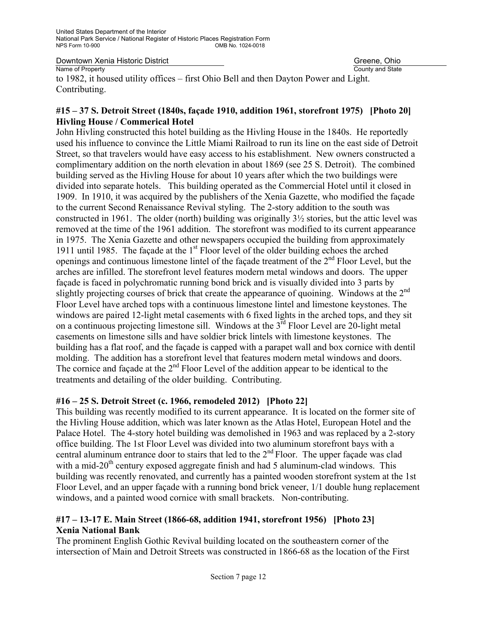County and State

to 1982, it housed utility offices – first Ohio Bell and then Dayton Power and Light. Contributing.

#### **#15 – 37 S. Detroit Street (1840s, façade 1910, addition 1961, storefront 1975) [Photo 20] Hivling House / Commerical Hotel**

John Hivling constructed this hotel building as the Hivling House in the 1840s. He reportedly used his influence to convince the Little Miami Railroad to run its line on the east side of Detroit Street, so that travelers would have easy access to his establishment. New owners constructed a complimentary addition on the north elevation in about 1869 (see 25 S. Detroit). The combined building served as the Hivling House for about 10 years after which the two buildings were divided into separate hotels. This building operated as the Commercial Hotel until it closed in 1909. In 1910, it was acquired by the publishers of the Xenia Gazette, who modified the façade to the current Second Renaissance Revival styling. The 2-story addition to the south was constructed in 1961. The older (north) building was originally 3½ stories, but the attic level was removed at the time of the 1961 addition. The storefront was modified to its current appearance in 1975. The Xenia Gazette and other newspapers occupied the building from approximately 1911 until 1985. The façade at the  $1<sup>st</sup>$  Floor level of the older building echoes the arched openings and continuous limestone lintel of the façade treatment of the 2nd Floor Level, but the arches are infilled. The storefront level features modern metal windows and doors. The upper façade is faced in polychromatic running bond brick and is visually divided into 3 parts by slightly projecting courses of brick that create the appearance of quoining. Windows at the 2<sup>nd</sup> Floor Level have arched tops with a continuous limestone lintel and limestone keystones. The windows are paired 12-light metal casements with 6 fixed lights in the arched tops, and they sit on a continuous projecting limestone sill. Windows at the  $3<sup>rd</sup>$  Floor Level are 20-light metal casements on limestone sills and have soldier brick lintels with limestone keystones. The building has a flat roof, and the façade is capped with a parapet wall and box cornice with dentil molding. The addition has a storefront level that features modern metal windows and doors. The cornice and façade at the 2<sup>nd</sup> Floor Level of the addition appear to be identical to the treatments and detailing of the older building. Contributing.

#### **#16 – 25 S. Detroit Street (c. 1966, remodeled 2012) [Photo 22]**

This building was recently modified to its current appearance. It is located on the former site of the Hivling House addition, which was later known as the Atlas Hotel, European Hotel and the Palace Hotel. The 4-story hotel building was demolished in 1963 and was replaced by a 2-story office building. The 1st Floor Level was divided into two aluminum storefront bays with a central aluminum entrance door to stairs that led to the 2<sup>nd</sup> Floor. The upper façade was clad with a mid-20<sup>th</sup> century exposed aggregate finish and had 5 aluminum-clad windows. This building was recently renovated, and currently has a painted wooden storefront system at the 1st Floor Level, and an upper façade with a running bond brick veneer, 1/1 double hung replacement windows, and a painted wood cornice with small brackets. Non-contributing.

#### **#17 – 13-17 E. Main Street (1866-68, addition 1941, storefront 1956) [Photo 23] Xenia National Bank**

The prominent English Gothic Revival building located on the southeastern corner of the intersection of Main and Detroit Streets was constructed in 1866-68 as the location of the First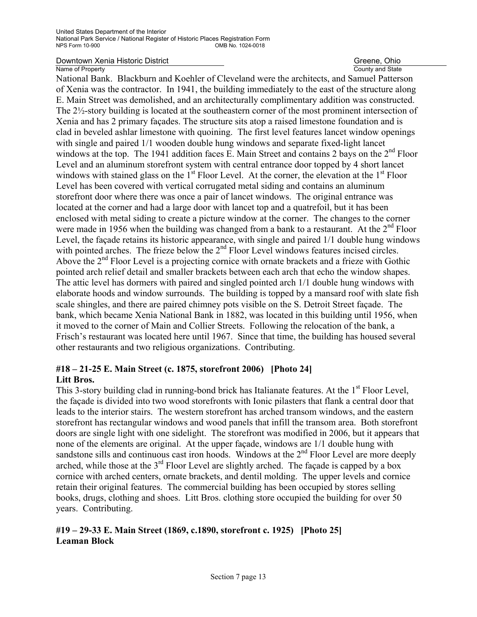County and State

National Bank. Blackburn and Koehler of Cleveland were the architects, and Samuel Patterson of Xenia was the contractor. In 1941, the building immediately to the east of the structure along E. Main Street was demolished, and an architecturally complimentary addition was constructed. The 2½-story building is located at the southeastern corner of the most prominent intersection of Xenia and has 2 primary façades. The structure sits atop a raised limestone foundation and is clad in beveled ashlar limestone with quoining. The first level features lancet window openings with single and paired  $1/1$  wooden double hung windows and separate fixed-light lancet windows at the top. The 1941 addition faces E. Main Street and contains 2 bays on the 2<sup>nd</sup> Floor Level and an aluminum storefront system with central entrance door topped by 4 short lancet windows with stained glass on the  $1<sup>st</sup>$  Floor Level. At the corner, the elevation at the  $1<sup>st</sup>$  Floor Level has been covered with vertical corrugated metal siding and contains an aluminum storefront door where there was once a pair of lancet windows. The original entrance was located at the corner and had a large door with lancet top and a quatrefoil, but it has been enclosed with metal siding to create a picture window at the corner. The changes to the corner were made in 1956 when the building was changed from a bank to a restaurant. At the  $2<sup>nd</sup>$  Floor Level, the façade retains its historic appearance, with single and paired 1/1 double hung windows with pointed arches. The frieze below the 2<sup>nd</sup> Floor Level windows features incised circles. Above the  $2<sup>nd</sup>$  Floor Level is a projecting cornice with ornate brackets and a frieze with Gothic pointed arch relief detail and smaller brackets between each arch that echo the window shapes. The attic level has dormers with paired and singled pointed arch 1/1 double hung windows with elaborate hoods and window surrounds. The building is topped by a mansard roof with slate fish scale shingles, and there are paired chimney pots visible on the S. Detroit Street façade. The bank, which became Xenia National Bank in 1882, was located in this building until 1956, when it moved to the corner of Main and Collier Streets. Following the relocation of the bank, a Frisch's restaurant was located here until 1967. Since that time, the building has housed several other restaurants and two religious organizations. Contributing.

#### **#18 – 21-25 E. Main Street (c. 1875, storefront 2006) [Photo 24] Litt Bros.**

This 3-story building clad in running-bond brick has Italianate features. At the 1<sup>st</sup> Floor Level, the façade is divided into two wood storefronts with Ionic pilasters that flank a central door that leads to the interior stairs. The western storefront has arched transom windows, and the eastern storefront has rectangular windows and wood panels that infill the transom area. Both storefront doors are single light with one sidelight. The storefront was modified in 2006, but it appears that none of the elements are original. At the upper façade, windows are 1/1 double hung with sandstone sills and continuous cast iron hoods. Windows at the  $2<sup>nd</sup>$  Floor Level are more deeply arched, while those at the  $3<sup>rd</sup>$  Floor Level are slightly arched. The façade is capped by a box cornice with arched centers, ornate brackets, and dentil molding. The upper levels and cornice retain their original features. The commercial building has been occupied by stores selling books, drugs, clothing and shoes. Litt Bros. clothing store occupied the building for over 50 years. Contributing.

#### **#19 – 29-33 E. Main Street (1869, c.1890, storefront c. 1925) [Photo 25] Leaman Block**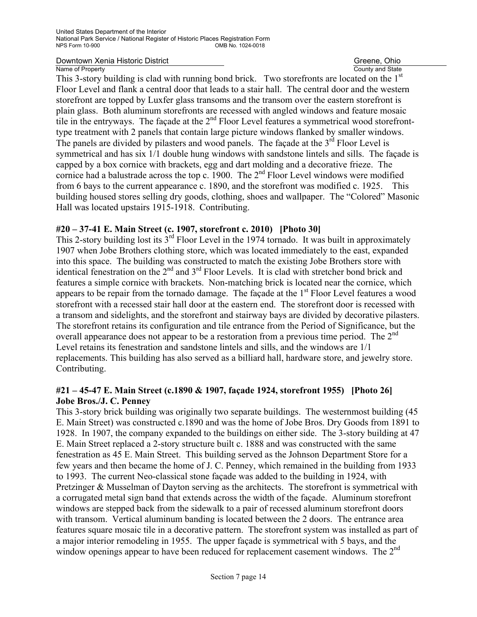County and State

This 3-story building is clad with running bond brick. Two storefronts are located on the 1<sup>st</sup> Floor Level and flank a central door that leads to a stair hall. The central door and the western storefront are topped by Luxfer glass transoms and the transom over the eastern storefront is plain glass. Both aluminum storefronts are recessed with angled windows and feature mosaic tile in the entryways. The façade at the  $2<sup>nd</sup>$  Floor Level features a symmetrical wood storefronttype treatment with 2 panels that contain large picture windows flanked by smaller windows. The panels are divided by pilasters and wood panels. The façade at the  $3<sup>rd</sup>$  Floor Level is symmetrical and has six 1/1 double hung windows with sandstone lintels and sills. The façade is capped by a box cornice with brackets, egg and dart molding and a decorative frieze. The cornice had a balustrade across the top c. 1900. The  $2<sup>nd</sup>$  Floor Level windows were modified from 6 bays to the current appearance c. 1890, and the storefront was modified c. 1925. This building housed stores selling dry goods, clothing, shoes and wallpaper. The "Colored" Masonic Hall was located upstairs 1915-1918. Contributing.

### **#20 – 37-41 E. Main Street (c. 1907, storefront c. 2010) [Photo 30]**

This 2-story building lost its  $3<sup>rd</sup>$  Floor Level in the 1974 tornado. It was built in approximately 1907 when Jobe Brothers clothing store, which was located immediately to the east, expanded into this space. The building was constructed to match the existing Jobe Brothers store with identical fenestration on the 2<sup>nd</sup> and 3<sup>rd</sup> Floor Levels. It is clad with stretcher bond brick and features a simple cornice with brackets. Non-matching brick is located near the cornice, which appears to be repair from the tornado damage. The facade at the  $1<sup>st</sup>$  Floor Level features a wood storefront with a recessed stair hall door at the eastern end. The storefront door is recessed with a transom and sidelights, and the storefront and stairway bays are divided by decorative pilasters. The storefront retains its configuration and tile entrance from the Period of Significance, but the overall appearance does not appear to be a restoration from a previous time period. The  $2<sup>nd</sup>$ Level retains its fenestration and sandstone lintels and sills, and the windows are 1/1 replacements. This building has also served as a billiard hall, hardware store, and jewelry store. Contributing.

#### **#21 – 45-47 E. Main Street (c.1890 & 1907, façade 1924, storefront 1955) [Photo 26] Jobe Bros./J. C. Penney**

This 3-story brick building was originally two separate buildings. The westernmost building (45 E. Main Street) was constructed c.1890 and was the home of Jobe Bros. Dry Goods from 1891 to 1928. In 1907, the company expanded to the buildings on either side. The 3-story building at 47 E. Main Street replaced a 2-story structure built c. 1888 and was constructed with the same fenestration as 45 E. Main Street. This building served as the Johnson Department Store for a few years and then became the home of J. C. Penney, which remained in the building from 1933 to 1993. The current Neo-classical stone façade was added to the building in 1924, with Pretzinger & Musselman of Dayton serving as the architects. The storefront is symmetrical with a corrugated metal sign band that extends across the width of the façade. Aluminum storefront windows are stepped back from the sidewalk to a pair of recessed aluminum storefront doors with transom. Vertical aluminum banding is located between the 2 doors. The entrance area features square mosaic tile in a decorative pattern. The storefront system was installed as part of a major interior remodeling in 1955. The upper façade is symmetrical with 5 bays, and the window openings appear to have been reduced for replacement casement windows. The 2<sup>nd</sup>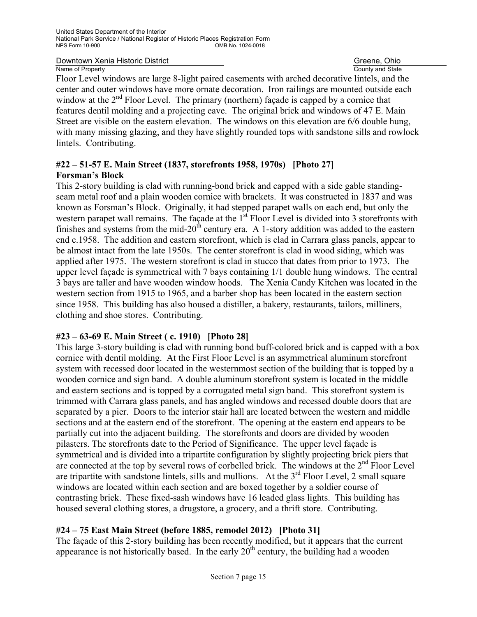County and State

Floor Level windows are large 8-light paired casements with arched decorative lintels, and the center and outer windows have more ornate decoration. Iron railings are mounted outside each window at the  $2<sup>nd</sup>$  Floor Level. The primary (northern) facade is capped by a cornice that features dentil molding and a projecting eave. The original brick and windows of 47 E. Main Street are visible on the eastern elevation. The windows on this elevation are 6/6 double hung, with many missing glazing, and they have slightly rounded tops with sandstone sills and rowlock lintels. Contributing.

#### **#22 – 51-57 E. Main Street (1837, storefronts 1958, 1970s) [Photo 27] Forsman's Block**

This 2-story building is clad with running-bond brick and capped with a side gable standingseam metal roof and a plain wooden cornice with brackets. It was constructed in 1837 and was known as Forsman's Block. Originally, it had stepped parapet walls on each end, but only the western parapet wall remains. The façade at the 1<sup>st</sup> Floor Level is divided into 3 storefronts with finishes and systems from the mid-20<sup>th</sup> century era. A 1-story addition was added to the eastern end c.1958. The addition and eastern storefront, which is clad in Carrara glass panels, appear to be almost intact from the late 1950s. The center storefront is clad in wood siding, which was applied after 1975. The western storefront is clad in stucco that dates from prior to 1973. The upper level façade is symmetrical with 7 bays containing 1/1 double hung windows. The central 3 bays are taller and have wooden window hoods. The Xenia Candy Kitchen was located in the western section from 1915 to 1965, and a barber shop has been located in the eastern section since 1958. This building has also housed a distiller, a bakery, restaurants, tailors, milliners, clothing and shoe stores. Contributing.

#### **#23 – 63-69 E. Main Street ( c. 1910) [Photo 28]**

This large 3-story building is clad with running bond buff-colored brick and is capped with a box cornice with dentil molding. At the First Floor Level is an asymmetrical aluminum storefront system with recessed door located in the westernmost section of the building that is topped by a wooden cornice and sign band. A double aluminum storefront system is located in the middle and eastern sections and is topped by a corrugated metal sign band. This storefront system is trimmed with Carrara glass panels, and has angled windows and recessed double doors that are separated by a pier. Doors to the interior stair hall are located between the western and middle sections and at the eastern end of the storefront. The opening at the eastern end appears to be partially cut into the adjacent building. The storefronts and doors are divided by wooden pilasters. The storefronts date to the Period of Significance. The upper level façade is symmetrical and is divided into a tripartite configuration by slightly projecting brick piers that are connected at the top by several rows of corbelled brick. The windows at the  $2<sup>nd</sup>$  Floor Level are tripartite with sandstone lintels, sills and mullions. At the  $3<sup>rd</sup>$  Floor Level, 2 small square windows are located within each section and are boxed together by a soldier course of contrasting brick. These fixed-sash windows have 16 leaded glass lights. This building has housed several clothing stores, a drugstore, a grocery, and a thrift store. Contributing.

#### **#24 – 75 East Main Street (before 1885, remodel 2012) [Photo 31]**

The façade of this 2-story building has been recently modified, but it appears that the current appearance is not historically based. In the early  $20<sup>th</sup>$  century, the building had a wooden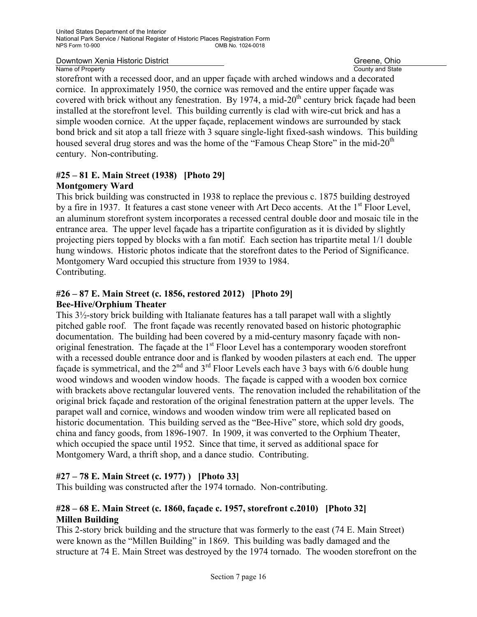County and State

storefront with a recessed door, and an upper façade with arched windows and a decorated cornice. In approximately 1950, the cornice was removed and the entire upper façade was covered with brick without any fenestration. By 1974, a mid- $20<sup>th</sup>$  century brick facade had been installed at the storefront level. This building currently is clad with wire-cut brick and has a simple wooden cornice. At the upper façade, replacement windows are surrounded by stack bond brick and sit atop a tall frieze with 3 square single-light fixed-sash windows. This building housed several drug stores and was the home of the "Famous Cheap Store" in the mid- $20<sup>th</sup>$ century. Non-contributing.

#### **#25 – 81 E. Main Street (1938) [Photo 29] Montgomery Ward**

This brick building was constructed in 1938 to replace the previous c. 1875 building destroyed by a fire in 1937. It features a cast stone veneer with Art Deco accents. At the 1<sup>st</sup> Floor Level, an aluminum storefront system incorporates a recessed central double door and mosaic tile in the entrance area. The upper level façade has a tripartite configuration as it is divided by slightly projecting piers topped by blocks with a fan motif. Each section has tripartite metal 1/1 double hung windows. Historic photos indicate that the storefront dates to the Period of Significance. Montgomery Ward occupied this structure from 1939 to 1984. Contributing.

#### **#26 – 87 E. Main Street (c. 1856, restored 2012) [Photo 29] Bee-Hive/Orphium Theater**

This  $3\frac{1}{2}$ -story brick building with Italianate features has a tall parapet wall with a slightly pitched gable roof. The front façade was recently renovated based on historic photographic documentation. The building had been covered by a mid-century masonry façade with nonoriginal fenestration. The façade at the 1<sup>st</sup> Floor Level has a contemporary wooden storefront with a recessed double entrance door and is flanked by wooden pilasters at each end. The upper façade is symmetrical, and the  $2<sup>nd</sup>$  and  $3<sup>rd</sup>$  Floor Levels each have 3 bays with 6/6 double hung wood windows and wooden window hoods. The façade is capped with a wooden box cornice with brackets above rectangular louvered vents. The renovation included the rehabilitation of the original brick façade and restoration of the original fenestration pattern at the upper levels. The parapet wall and cornice, windows and wooden window trim were all replicated based on historic documentation. This building served as the "Bee-Hive" store, which sold dry goods, china and fancy goods, from 1896-1907. In 1909, it was converted to the Orphium Theater, which occupied the space until 1952. Since that time, it served as additional space for Montgomery Ward, a thrift shop, and a dance studio. Contributing.

#### **#27 – 78 E. Main Street (c. 1977) ) [Photo 33]**

This building was constructed after the 1974 tornado. Non-contributing.

#### **#28 – 68 E. Main Street (c. 1860, façade c. 1957, storefront c.2010) [Photo 32] Millen Building**

This 2-story brick building and the structure that was formerly to the east (74 E. Main Street) were known as the "Millen Building" in 1869. This building was badly damaged and the structure at 74 E. Main Street was destroyed by the 1974 tornado. The wooden storefront on the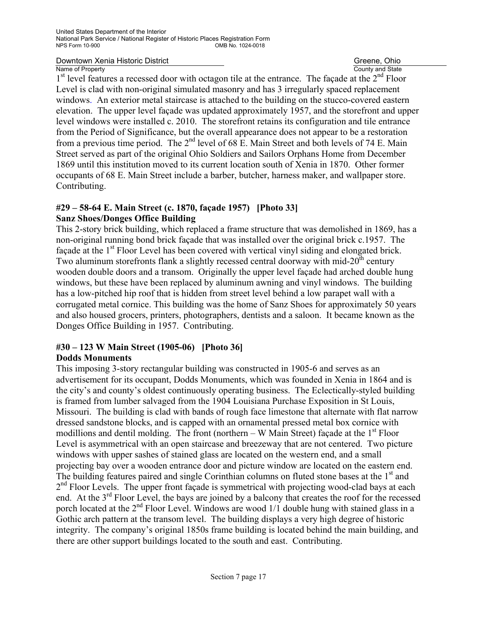County and State

1<sup>st</sup> level features a recessed door with octagon tile at the entrance. The façade at the 2<sup>nd</sup> Floor Level is clad with non-original simulated masonry and has 3 irregularly spaced replacement windows. An exterior metal staircase is attached to the building on the stucco-covered eastern elevation. The upper level façade was updated approximately 1957, and the storefront and upper level windows were installed c. 2010. The storefront retains its configuration and tile entrance from the Period of Significance, but the overall appearance does not appear to be a restoration from a previous time period. The  $2<sup>nd</sup>$  level of 68 E. Main Street and both levels of 74 E. Main Street served as part of the original Ohio Soldiers and Sailors Orphans Home from December 1869 until this institution moved to its current location south of Xenia in 1870. Other former occupants of 68 E. Main Street include a barber, butcher, harness maker, and wallpaper store. Contributing.

#### **#29 – 58-64 E. Main Street (c. 1870, façade 1957) [Photo 33] Sanz Shoes/Donges Office Building**

This 2-story brick building, which replaced a frame structure that was demolished in 1869, has a non-original running bond brick façade that was installed over the original brick c.1957. The facade at the 1<sup>st</sup> Floor Level has been covered with vertical vinyl siding and elongated brick. Two aluminum storefronts flank a slightly recessed central doorway with mid- $20<sup>th</sup>$  century wooden double doors and a transom. Originally the upper level façade had arched double hung windows, but these have been replaced by aluminum awning and vinyl windows. The building has a low-pitched hip roof that is hidden from street level behind a low parapet wall with a corrugated metal cornice. This building was the home of Sanz Shoes for approximately 50 years and also housed grocers, printers, photographers, dentists and a saloon. It became known as the Donges Office Building in 1957. Contributing.

## **#30 – 123 W Main Street (1905-06) [Photo 36]**

#### **Dodds Monuments**

This imposing 3-story rectangular building was constructed in 1905-6 and serves as an advertisement for its occupant, Dodds Monuments, which was founded in Xenia in 1864 and is the city's and county's oldest continuously operating business. The Eclectically-styled building is framed from lumber salvaged from the 1904 Louisiana Purchase Exposition in St Louis, Missouri. The building is clad with bands of rough face limestone that alternate with flat narrow dressed sandstone blocks, and is capped with an ornamental pressed metal box cornice with modillions and dentil molding. The front (northern – W Main Street) façade at the  $1<sup>st</sup>$  Floor Level is asymmetrical with an open staircase and breezeway that are not centered. Two picture windows with upper sashes of stained glass are located on the western end, and a small projecting bay over a wooden entrance door and picture window are located on the eastern end. The building features paired and single Corinthian columns on fluted stone bases at the 1<sup>st</sup> and  $2<sup>nd</sup>$  Floor Levels. The upper front façade is symmetrical with projecting wood-clad bays at each end. At the 3<sup>rd</sup> Floor Level, the bays are joined by a balcony that creates the roof for the recessed porch located at the  $2<sup>nd</sup>$  Floor Level. Windows are wood  $1/1$  double hung with stained glass in a Gothic arch pattern at the transom level. The building displays a very high degree of historic integrity. The company's original 1850s frame building is located behind the main building, and there are other support buildings located to the south and east. Contributing.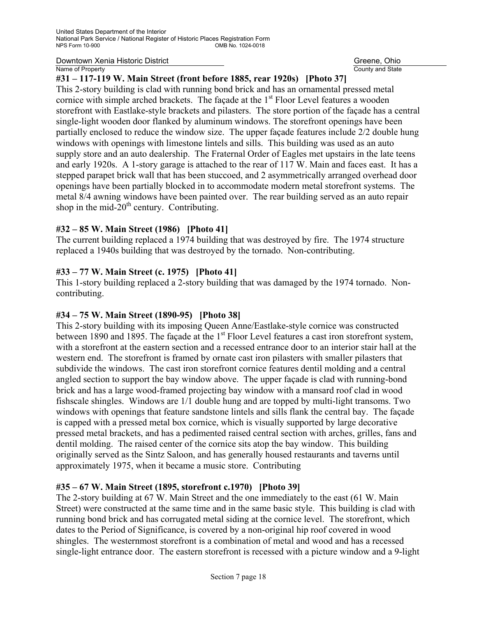County and State

#### **#31 – 117-119 W. Main Street (front before 1885, rear 1920s) [Photo 37]**

This 2-story building is clad with running bond brick and has an ornamental pressed metal cornice with simple arched brackets. The facade at the  $1<sup>st</sup>$  Floor Level features a wooden storefront with Eastlake-style brackets and pilasters. The store portion of the façade has a central single-light wooden door flanked by aluminum windows. The storefront openings have been partially enclosed to reduce the window size. The upper façade features include 2/2 double hung windows with openings with limestone lintels and sills. This building was used as an auto supply store and an auto dealership. The Fraternal Order of Eagles met upstairs in the late teens and early 1920s. A 1-story garage is attached to the rear of 117 W. Main and faces east. It has a stepped parapet brick wall that has been stuccoed, and 2 asymmetrically arranged overhead door openings have been partially blocked in to accommodate modern metal storefront systems. The metal 8/4 awning windows have been painted over. The rear building served as an auto repair shop in the mid- $20<sup>th</sup>$  century. Contributing.

#### **#32 – 85 W. Main Street (1986) [Photo 41]**

The current building replaced a 1974 building that was destroyed by fire. The 1974 structure replaced a 1940s building that was destroyed by the tornado. Non-contributing.

#### **#33 – 77 W. Main Street (c. 1975) [Photo 41]**

This 1-story building replaced a 2-story building that was damaged by the 1974 tornado. Noncontributing.

#### **#34 – 75 W. Main Street (1890-95) [Photo 38]**

This 2-story building with its imposing Queen Anne/Eastlake-style cornice was constructed between 1890 and 1895. The façade at the 1<sup>st</sup> Floor Level features a cast iron storefront system, with a storefront at the eastern section and a recessed entrance door to an interior stair hall at the western end. The storefront is framed by ornate cast iron pilasters with smaller pilasters that subdivide the windows. The cast iron storefront cornice features dentil molding and a central angled section to support the bay window above. The upper façade is clad with running-bond brick and has a large wood-framed projecting bay window with a mansard roof clad in wood fishscale shingles. Windows are 1/1 double hung and are topped by multi-light transoms. Two windows with openings that feature sandstone lintels and sills flank the central bay. The façade is capped with a pressed metal box cornice, which is visually supported by large decorative pressed metal brackets, and has a pedimented raised central section with arches, grilles, fans and dentil molding. The raised center of the cornice sits atop the bay window. This building originally served as the Sintz Saloon, and has generally housed restaurants and taverns until approximately 1975, when it became a music store. Contributing

#### **#35 – 67 W. Main Street (1895, storefront c.1970) [Photo 39]**

The 2-story building at 67 W. Main Street and the one immediately to the east (61 W. Main Street) were constructed at the same time and in the same basic style. This building is clad with running bond brick and has corrugated metal siding at the cornice level. The storefront, which dates to the Period of Significance, is covered by a non-original hip roof covered in wood shingles. The westernmost storefront is a combination of metal and wood and has a recessed single-light entrance door. The eastern storefront is recessed with a picture window and a 9-light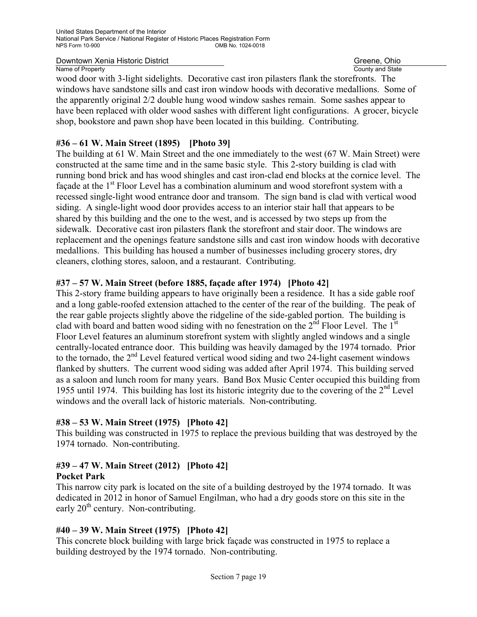County and State

wood door with 3-light sidelights. Decorative cast iron pilasters flank the storefronts. The windows have sandstone sills and cast iron window hoods with decorative medallions. Some of the apparently original 2/2 double hung wood window sashes remain. Some sashes appear to have been replaced with older wood sashes with different light configurations. A grocer, bicycle shop, bookstore and pawn shop have been located in this building. Contributing.

#### **#36 – 61 W. Main Street (1895) [Photo 39]**

The building at 61 W. Main Street and the one immediately to the west (67 W. Main Street) were constructed at the same time and in the same basic style. This 2-story building is clad with running bond brick and has wood shingles and cast iron-clad end blocks at the cornice level. The facade at the 1<sup>st</sup> Floor Level has a combination aluminum and wood storefront system with a recessed single-light wood entrance door and transom. The sign band is clad with vertical wood siding. A single-light wood door provides access to an interior stair hall that appears to be shared by this building and the one to the west, and is accessed by two steps up from the sidewalk. Decorative cast iron pilasters flank the storefront and stair door. The windows are replacement and the openings feature sandstone sills and cast iron window hoods with decorative medallions. This building has housed a number of businesses including grocery stores, dry cleaners, clothing stores, saloon, and a restaurant. Contributing.

#### **#37 – 57 W. Main Street (before 1885, façade after 1974) [Photo 42]**

This 2-story frame building appears to have originally been a residence. It has a side gable roof and a long gable-roofed extension attached to the center of the rear of the building. The peak of the rear gable projects slightly above the ridgeline of the side-gabled portion. The building is clad with board and batten wood siding with no fenestration on the  $2<sup>nd</sup>$  Floor Level. The 1<sup>st</sup> Floor Level features an aluminum storefront system with slightly angled windows and a single centrally-located entrance door. This building was heavily damaged by the 1974 tornado. Prior to the tornado, the  $2<sup>nd</sup>$  Level featured vertical wood siding and two 24-light casement windows flanked by shutters. The current wood siding was added after April 1974. This building served as a saloon and lunch room for many years. Band Box Music Center occupied this building from 1955 until 1974. This building has lost its historic integrity due to the covering of the 2nd Level windows and the overall lack of historic materials. Non-contributing.

#### **#38 – 53 W. Main Street (1975) [Photo 42]**

This building was constructed in 1975 to replace the previous building that was destroyed by the 1974 tornado. Non-contributing.

#### **#39 – 47 W. Main Street (2012) [Photo 42] Pocket Park**

This narrow city park is located on the site of a building destroyed by the 1974 tornado. It was dedicated in 2012 in honor of Samuel Engilman, who had a dry goods store on this site in the early  $20<sup>th</sup>$  century. Non-contributing.

#### **#40 – 39 W. Main Street (1975) [Photo 42]**

This concrete block building with large brick façade was constructed in 1975 to replace a building destroyed by the 1974 tornado. Non-contributing.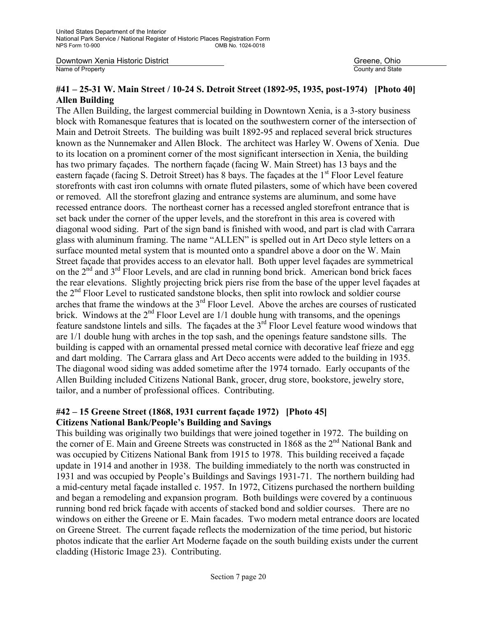County and State

#### **#41 – 25-31 W. Main Street / 10-24 S. Detroit Street (1892-95, 1935, post-1974) [Photo 40] Allen Building**

The Allen Building, the largest commercial building in Downtown Xenia, is a 3-story business block with Romanesque features that is located on the southwestern corner of the intersection of Main and Detroit Streets. The building was built 1892-95 and replaced several brick structures known as the Nunnemaker and Allen Block. The architect was Harley W. Owens of Xenia. Due to its location on a prominent corner of the most significant intersection in Xenia, the building has two primary façades. The northern façade (facing W. Main Street) has 13 bays and the eastern façade (facing S. Detroit Street) has 8 bays. The façades at the 1<sup>st</sup> Floor Level feature storefronts with cast iron columns with ornate fluted pilasters, some of which have been covered or removed. All the storefront glazing and entrance systems are aluminum, and some have recessed entrance doors. The northeast corner has a recessed angled storefront entrance that is set back under the corner of the upper levels, and the storefront in this area is covered with diagonal wood siding. Part of the sign band is finished with wood, and part is clad with Carrara glass with aluminum framing. The name "ALLEN" is spelled out in Art Deco style letters on a surface mounted metal system that is mounted onto a spandrel above a door on the W. Main Street façade that provides access to an elevator hall. Both upper level façades are symmetrical on the  $2<sup>nd</sup>$  and  $3<sup>rd</sup>$  Floor Levels, and are clad in running bond brick. American bond brick faces the rear elevations. Slightly projecting brick piers rise from the base of the upper level façades at the  $2<sup>nd</sup>$  Floor Level to rusticated sandstone blocks, then split into rowlock and soldier course arches that frame the windows at the 3<sup>rd</sup> Floor Level. Above the arches are courses of rusticated brick. Windows at the  $2<sup>nd</sup>$  Floor Level are  $1/1$  double hung with transoms, and the openings feature sandstone lintels and sills. The façades at the 3<sup>rd</sup> Floor Level feature wood windows that are 1/1 double hung with arches in the top sash, and the openings feature sandstone sills. The building is capped with an ornamental pressed metal cornice with decorative leaf frieze and egg and dart molding. The Carrara glass and Art Deco accents were added to the building in 1935. The diagonal wood siding was added sometime after the 1974 tornado. Early occupants of the Allen Building included Citizens National Bank, grocer, drug store, bookstore, jewelry store, tailor, and a number of professional offices. Contributing.

#### **#42 – 15 Greene Street (1868, 1931 current façade 1972) [Photo 45] Citizens National Bank/People's Building and Savings**

This building was originally two buildings that were joined together in 1972. The building on the corner of E. Main and Greene Streets was constructed in 1868 as the 2<sup>nd</sup> National Bank and was occupied by Citizens National Bank from 1915 to 1978. This building received a façade update in 1914 and another in 1938. The building immediately to the north was constructed in 1931 and was occupied by People's Buildings and Savings 1931-71. The northern building had a mid-century metal façade installed c. 1957. In 1972, Citizens purchased the northern building and began a remodeling and expansion program. Both buildings were covered by a continuous running bond red brick façade with accents of stacked bond and soldier courses. There are no windows on either the Greene or E. Main facades. Two modern metal entrance doors are located on Greene Street. The current façade reflects the modernization of the time period, but historic photos indicate that the earlier Art Moderne façade on the south building exists under the current cladding (Historic Image 23). Contributing.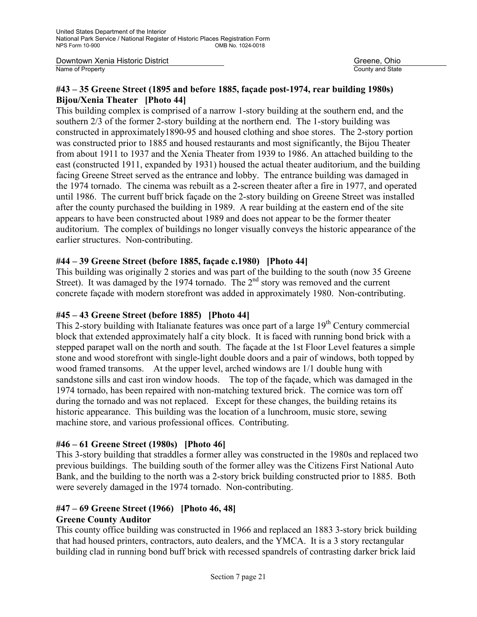Downtown Xenia Historic District Greene, Ohio Name of Property County and State

#### **#43 – 35 Greene Street (1895 and before 1885, façade post-1974, rear building 1980s) Bijou/Xenia Theater [Photo 44]**

This building complex is comprised of a narrow 1-story building at the southern end, and the southern 2/3 of the former 2-story building at the northern end. The 1-story building was constructed in approximately1890-95 and housed clothing and shoe stores. The 2-story portion was constructed prior to 1885 and housed restaurants and most significantly, the Bijou Theater from about 1911 to 1937 and the Xenia Theater from 1939 to 1986. An attached building to the east (constructed 1911, expanded by 1931) housed the actual theater auditorium, and the building facing Greene Street served as the entrance and lobby. The entrance building was damaged in the 1974 tornado. The cinema was rebuilt as a 2-screen theater after a fire in 1977, and operated until 1986. The current buff brick façade on the 2-story building on Greene Street was installed after the county purchased the building in 1989. A rear building at the eastern end of the site appears to have been constructed about 1989 and does not appear to be the former theater auditorium. The complex of buildings no longer visually conveys the historic appearance of the earlier structures. Non-contributing.

#### **#44 – 39 Greene Street (before 1885, façade c.1980) [Photo 44]**

This building was originally 2 stories and was part of the building to the south (now 35 Greene Street). It was damaged by the 1974 tornado. The 2<sup>nd</sup> story was removed and the current concrete façade with modern storefront was added in approximately 1980. Non-contributing.

#### **#45 – 43 Greene Street (before 1885) [Photo 44]**

This 2-story building with Italianate features was once part of a large 19<sup>th</sup> Century commercial block that extended approximately half a city block. It is faced with running bond brick with a stepped parapet wall on the north and south. The façade at the 1st Floor Level features a simple stone and wood storefront with single-light double doors and a pair of windows, both topped by wood framed transoms. At the upper level, arched windows are 1/1 double hung with sandstone sills and cast iron window hoods. The top of the façade, which was damaged in the 1974 tornado, has been repaired with non-matching textured brick. The cornice was torn off during the tornado and was not replaced. Except for these changes, the building retains its historic appearance. This building was the location of a lunchroom, music store, sewing machine store, and various professional offices. Contributing.

#### **#46 – 61 Greene Street (1980s) [Photo 46]**

This 3-story building that straddles a former alley was constructed in the 1980s and replaced two previous buildings. The building south of the former alley was the Citizens First National Auto Bank, and the building to the north was a 2-story brick building constructed prior to 1885. Both were severely damaged in the 1974 tornado. Non-contributing.

## **#47 – 69 Greene Street (1966) [Photo 46, 48]**

#### **Greene County Auditor**

This county office building was constructed in 1966 and replaced an 1883 3-story brick building that had housed printers, contractors, auto dealers, and the YMCA. It is a 3 story rectangular building clad in running bond buff brick with recessed spandrels of contrasting darker brick laid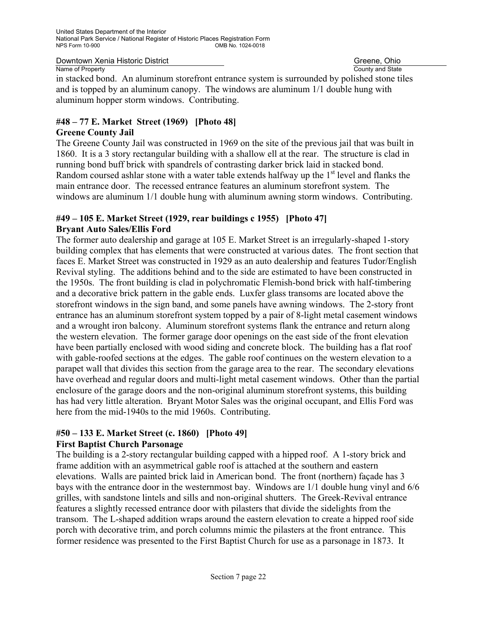County and State

in stacked bond. An aluminum storefront entrance system is surrounded by polished stone tiles and is topped by an aluminum canopy. The windows are aluminum 1/1 double hung with aluminum hopper storm windows. Contributing.

## **#48 – 77 E. Market Street (1969) [Photo 48]**

#### **Greene County Jail**

The Greene County Jail was constructed in 1969 on the site of the previous jail that was built in 1860. It is a 3 story rectangular building with a shallow ell at the rear. The structure is clad in running bond buff brick with spandrels of contrasting darker brick laid in stacked bond. Random coursed ashlar stone with a water table extends halfway up the  $1<sup>st</sup>$  level and flanks the main entrance door. The recessed entrance features an aluminum storefront system. The windows are aluminum 1/1 double hung with aluminum awning storm windows. Contributing.

#### **#49 – 105 E. Market Street (1929, rear buildings c 1955) [Photo 47] Bryant Auto Sales/Ellis Ford**

The former auto dealership and garage at 105 E. Market Street is an irregularly-shaped 1-story building complex that has elements that were constructed at various dates. The front section that faces E. Market Street was constructed in 1929 as an auto dealership and features Tudor/English Revival styling. The additions behind and to the side are estimated to have been constructed in the 1950s. The front building is clad in polychromatic Flemish-bond brick with half-timbering and a decorative brick pattern in the gable ends. Luxfer glass transoms are located above the storefront windows in the sign band, and some panels have awning windows. The 2-story front entrance has an aluminum storefront system topped by a pair of 8-light metal casement windows and a wrought iron balcony. Aluminum storefront systems flank the entrance and return along the western elevation. The former garage door openings on the east side of the front elevation have been partially enclosed with wood siding and concrete block. The building has a flat roof with gable-roofed sections at the edges. The gable roof continues on the western elevation to a parapet wall that divides this section from the garage area to the rear. The secondary elevations have overhead and regular doors and multi-light metal casement windows. Other than the partial enclosure of the garage doors and the non-original aluminum storefront systems, this building has had very little alteration. Bryant Motor Sales was the original occupant, and Ellis Ford was here from the mid-1940s to the mid 1960s. Contributing.

#### **#50 – 133 E. Market Street (c. 1860) [Photo 49] First Baptist Church Parsonage**

The building is a 2-story rectangular building capped with a hipped roof. A 1-story brick and frame addition with an asymmetrical gable roof is attached at the southern and eastern elevations. Walls are painted brick laid in American bond. The front (northern) façade has 3 bays with the entrance door in the westernmost bay. Windows are 1/1 double hung vinyl and 6/6 grilles, with sandstone lintels and sills and non-original shutters. The Greek-Revival entrance features a slightly recessed entrance door with pilasters that divide the sidelights from the transom. The L-shaped addition wraps around the eastern elevation to create a hipped roof side porch with decorative trim, and porch columns mimic the pilasters at the front entrance. This former residence was presented to the First Baptist Church for use as a parsonage in 1873. It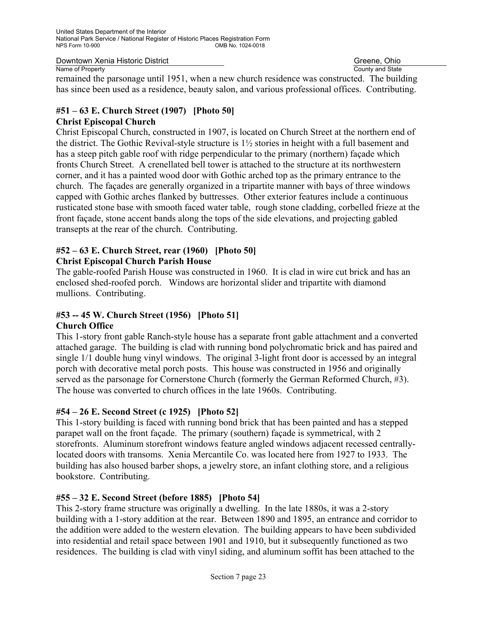County and State

remained the parsonage until 1951, when a new church residence was constructed. The building has since been used as a residence, beauty salon, and various professional offices. Contributing.

#### **#51 – 63 E. Church Street (1907) [Photo 50] Christ Episcopal Church**

Christ Episcopal Church, constructed in 1907, is located on Church Street at the northern end of the district. The Gothic Revival-style structure is 1½ stories in height with a full basement and has a steep pitch gable roof with ridge perpendicular to the primary (northern) façade which fronts Church Street. A crenellated bell tower is attached to the structure at its northwestern corner, and it has a painted wood door with Gothic arched top as the primary entrance to the church. The façades are generally organized in a tripartite manner with bays of three windows capped with Gothic arches flanked by buttresses. Other exterior features include a continuous rusticated stone base with smooth faced water table, rough stone cladding, corbelled frieze at the front façade, stone accent bands along the tops of the side elevations, and projecting gabled transepts at the rear of the church. Contributing.

#### **#52 – 63 E. Church Street, rear (1960) [Photo 50] Christ Episcopal Church Parish House**

The gable-roofed Parish House was constructed in 1960. It is clad in wire cut brick and has an enclosed shed-roofed porch. Windows are horizontal slider and tripartite with diamond mullions. Contributing.

## **#53 -- 45 W. Church Street (1956) [Photo 51]**

#### **Church Office**

This 1-story front gable Ranch-style house has a separate front gable attachment and a converted attached garage. The building is clad with running bond polychromatic brick and has paired and single 1/1 double hung vinyl windows. The original 3-light front door is accessed by an integral porch with decorative metal porch posts. This house was constructed in 1956 and originally served as the parsonage for Cornerstone Church (formerly the German Reformed Church, #3). The house was converted to church offices in the late 1960s. Contributing.

#### **#54 – 26 E. Second Street (c 1925) [Photo 52]**

This 1-story building is faced with running bond brick that has been painted and has a stepped parapet wall on the front façade. The primary (southern) façade is symmetrical, with 2 storefronts. Aluminum storefront windows feature angled windows adjacent recessed centrallylocated doors with transoms. Xenia Mercantile Co. was located here from 1927 to 1933. The building has also housed barber shops, a jewelry store, an infant clothing store, and a religious bookstore. Contributing.

#### **#55 – 32 E. Second Street (before 1885) [Photo 54]**

This 2-story frame structure was originally a dwelling. In the late 1880s, it was a 2-story building with a 1-story addition at the rear. Between 1890 and 1895, an entrance and corridor to the addition were added to the western elevation. The building appears to have been subdivided into residential and retail space between 1901 and 1910, but it subsequently functioned as two residences. The building is clad with vinyl siding, and aluminum soffit has been attached to the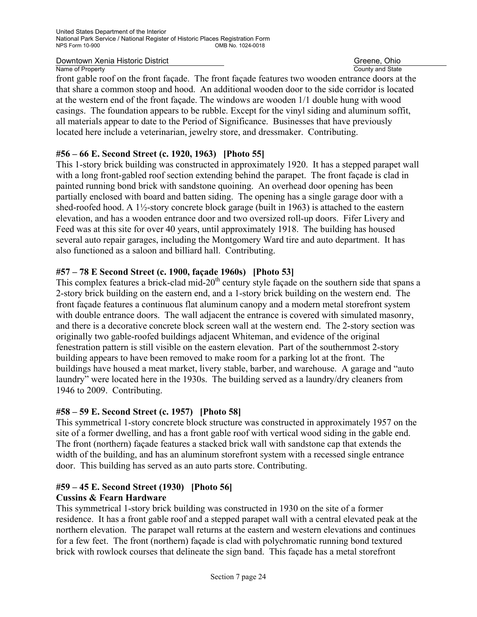County and State

front gable roof on the front façade. The front façade features two wooden entrance doors at the that share a common stoop and hood. An additional wooden door to the side corridor is located at the western end of the front façade. The windows are wooden 1/1 double hung with wood casings. The foundation appears to be rubble. Except for the vinyl siding and aluminum soffit, all materials appear to date to the Period of Significance. Businesses that have previously located here include a veterinarian, jewelry store, and dressmaker. Contributing.

### **#56 – 66 E. Second Street (c. 1920, 1963) [Photo 55]**

This 1-story brick building was constructed in approximately 1920. It has a stepped parapet wall with a long front-gabled roof section extending behind the parapet. The front façade is clad in painted running bond brick with sandstone quoining. An overhead door opening has been partially enclosed with board and batten siding. The opening has a single garage door with a shed-roofed hood. A 1½-story concrete block garage (built in 1963) is attached to the eastern elevation, and has a wooden entrance door and two oversized roll-up doors. Fifer Livery and Feed was at this site for over 40 years, until approximately 1918. The building has housed several auto repair garages, including the Montgomery Ward tire and auto department. It has also functioned as a saloon and billiard hall. Contributing.

### **#57 – 78 E Second Street (c. 1900, façade 1960s) [Photo 53]**

This complex features a brick-clad mid- $20<sup>th</sup>$  century style façade on the southern side that spans a 2-story brick building on the eastern end, and a 1-story brick building on the western end. The front façade features a continuous flat aluminum canopy and a modern metal storefront system with double entrance doors. The wall adjacent the entrance is covered with simulated masonry, and there is a decorative concrete block screen wall at the western end. The 2-story section was originally two gable-roofed buildings adjacent Whiteman, and evidence of the original fenestration pattern is still visible on the eastern elevation. Part of the southernmost 2-story building appears to have been removed to make room for a parking lot at the front. The buildings have housed a meat market, livery stable, barber, and warehouse. A garage and "auto laundry" were located here in the 1930s. The building served as a laundry/dry cleaners from 1946 to 2009. Contributing.

#### **#58 – 59 E. Second Street (c. 1957) [Photo 58]**

This symmetrical 1-story concrete block structure was constructed in approximately 1957 on the site of a former dwelling, and has a front gable roof with vertical wood siding in the gable end. The front (northern) façade features a stacked brick wall with sandstone cap that extends the width of the building, and has an aluminum storefront system with a recessed single entrance door. This building has served as an auto parts store. Contributing.

#### **#59 – 45 E. Second Street (1930) [Photo 56] Cussins & Fearn Hardware**

This symmetrical 1-story brick building was constructed in 1930 on the site of a former residence. It has a front gable roof and a stepped parapet wall with a central elevated peak at the northern elevation. The parapet wall returns at the eastern and western elevations and continues for a few feet. The front (northern) façade is clad with polychromatic running bond textured brick with rowlock courses that delineate the sign band. This façade has a metal storefront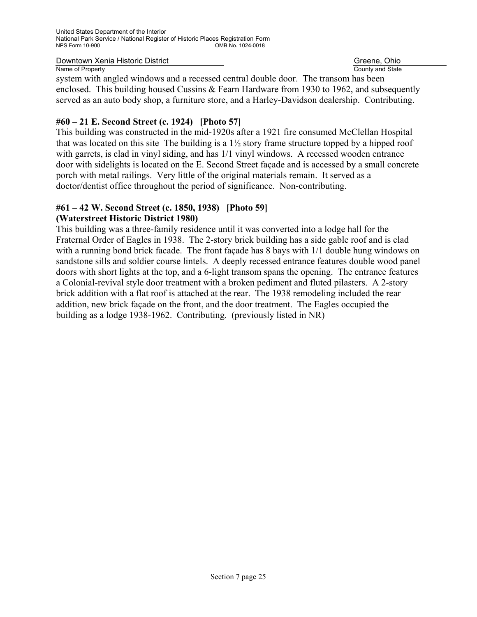County and State

system with angled windows and a recessed central double door. The transom has been enclosed. This building housed Cussins & Fearn Hardware from 1930 to 1962, and subsequently served as an auto body shop, a furniture store, and a Harley-Davidson dealership. Contributing.

#### **#60 – 21 E. Second Street (c. 1924) [Photo 57]**

This building was constructed in the mid-1920s after a 1921 fire consumed McClellan Hospital that was located on this site The building is a  $1\frac{1}{2}$  story frame structure topped by a hipped roof with garrets, is clad in vinyl siding, and has  $1/1$  vinyl windows. A recessed wooden entrance door with sidelights is located on the E. Second Street façade and is accessed by a small concrete porch with metal railings. Very little of the original materials remain. It served as a doctor/dentist office throughout the period of significance. Non-contributing.

## **#61 – 42 W. Second Street (c. 1850, 1938) [Photo 59]**

#### **(Waterstreet Historic District 1980)**

This building was a three-family residence until it was converted into a lodge hall for the Fraternal Order of Eagles in 1938. The 2-story brick building has a side gable roof and is clad with a running bond brick facade. The front facade has 8 bays with  $1/1$  double hung windows on sandstone sills and soldier course lintels. A deeply recessed entrance features double wood panel doors with short lights at the top, and a 6-light transom spans the opening. The entrance features a Colonial-revival style door treatment with a broken pediment and fluted pilasters. A 2-story brick addition with a flat roof is attached at the rear. The 1938 remodeling included the rear addition, new brick façade on the front, and the door treatment. The Eagles occupied the building as a lodge 1938-1962. Contributing. (previously listed in NR)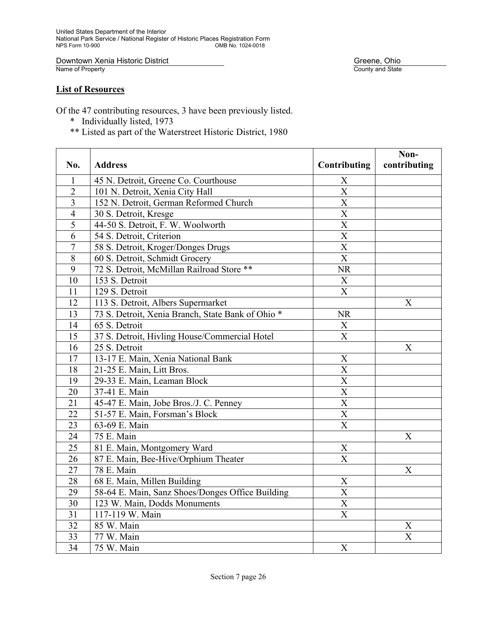Downtown Xenia Historic District<br>Name of Property

#### **List of Resources**

Of the 47 contributing resources, 3 have been previously listed.

- \* Individually listed, 1973
- \*\* Listed as part of the Waterstreet Historic District, 1980

|                |                                                   |                                     | Non-                  |
|----------------|---------------------------------------------------|-------------------------------------|-----------------------|
| No.            | <b>Address</b>                                    | Contributing                        | contributing          |
| $\mathbf{1}$   | 45 N. Detroit, Greene Co. Courthouse              | $\boldsymbol{\mathrm{X}}$           |                       |
| $\overline{2}$ | 101 N. Detroit, Xenia City Hall                   | $\overline{X}$                      |                       |
| $\overline{3}$ | 152 N. Detroit, German Reformed Church            | $\overline{X}$                      |                       |
| $\overline{4}$ | 30 S. Detroit, Kresge                             | $\frac{\overline{X}}{\overline{X}}$ |                       |
| $\overline{5}$ | 44-50 S. Detroit, F. W. Woolworth                 |                                     |                       |
| 6              | 54 S. Detroit, Criterion                          | $\overline{X}$                      |                       |
| $\overline{7}$ | 58 S. Detroit, Kroger/Donges Drugs                | $\overline{X}$                      |                       |
| 8              | 60 S. Detroit, Schmidt Grocery                    | $\overline{X}$                      |                       |
| 9              | 72 S. Detroit, McMillan Railroad Store **         | <b>NR</b>                           |                       |
| 10             | 153 S. Detroit                                    | $\mathbf X$                         |                       |
| 11             | 129 S. Detroit                                    | $\overline{X}$                      |                       |
| 12             | 113 S. Detroit, Albers Supermarket                |                                     | X                     |
| 13             | 73 S. Detroit, Xenia Branch, State Bank of Ohio * | <b>NR</b>                           |                       |
| 14             | 65 S. Detroit                                     | $\mathbf X$                         |                       |
| 15             | 37 S. Detroit, Hivling House/Commercial Hotel     | $\overline{X}$                      |                       |
| 16             | 25 S. Detroit                                     |                                     | X                     |
| 17             | 13-17 E. Main, Xenia National Bank                | X                                   |                       |
| 18             | 21-25 E. Main, Litt Bros.                         | $\overline{\text{X}}$               |                       |
| 19             | 29-33 E. Main, Leaman Block                       | $\overline{X}$                      |                       |
| 20             | 37-41 E. Main                                     | $\overline{X}$                      |                       |
| 21             | 45-47 E. Main, Jobe Bros./J. C. Penney            | $\overline{X}$                      |                       |
| 22             | 51-57 E. Main, Forsman's Block                    | $\overline{\mathbf{X}}$             |                       |
| 23             | 63-69 E. Main                                     | $\overline{\text{X}}$               |                       |
| 24             | 75 E. Main                                        |                                     | $\boldsymbol{X}$      |
| 25             | 81 E. Main, Montgomery Ward                       | $\mathbf X$                         |                       |
| 26             | 87 E. Main, Bee-Hive/Orphium Theater              | $\mathbf X$                         |                       |
| 27             | 78 E. Main                                        |                                     | $\boldsymbol{X}$      |
| 28             | 68 E. Main, Millen Building                       | $\mathbf X$                         |                       |
| 29             | 58-64 E. Main, Sanz Shoes/Donges Office Building  | $\overline{X}$                      |                       |
| 30             | 123 W. Main, Dodds Monuments                      | $\overline{X}$                      |                       |
| 31             | 117-119 W. Main                                   | $\overline{\mathrm{X}}$             |                       |
| 32             | 85 W. Main                                        |                                     | X                     |
| 33             | 77 W. Main                                        |                                     | $\overline{\text{X}}$ |
| 34             | 75 W. Main                                        | X                                   |                       |

Greene, Ohio<br>County and State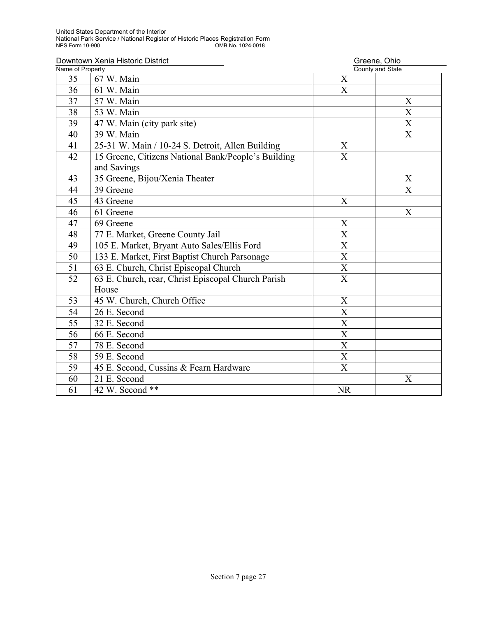| Downtown Xenia Historic District |                                                     | Greene, Ohio              |                           |
|----------------------------------|-----------------------------------------------------|---------------------------|---------------------------|
| Name of Property                 |                                                     |                           | County and State          |
| 35                               | 67 W. Main                                          | X                         |                           |
| 36                               | 61 W. Main                                          | $\mathbf{X}$              |                           |
| 37                               | 57 W. Main                                          |                           | X                         |
| 38                               | 53 W. Main                                          |                           | $\boldsymbol{X}$          |
| 39                               | 47 W. Main (city park site)                         |                           | $\boldsymbol{\mathrm{X}}$ |
| 40                               | 39 W. Main                                          |                           | X                         |
| 41                               | 25-31 W. Main / 10-24 S. Detroit, Allen Building    | X                         |                           |
| 42                               | 15 Greene, Citizens National Bank/People's Building | $\overline{\mathrm{X}}$   |                           |
|                                  | and Savings                                         |                           |                           |
| 43                               | 35 Greene, Bijou/Xenia Theater                      |                           | X                         |
| 44                               | 39 Greene                                           |                           | X                         |
| 45                               | 43 Greene                                           | X                         |                           |
| 46                               | 61 Greene                                           |                           | X                         |
| 47                               | 69 Greene                                           | X                         |                           |
| 48                               | 77 E. Market, Greene County Jail                    | $\overline{\text{X}}$     |                           |
| 49                               | 105 E. Market, Bryant Auto Sales/Ellis Ford         | X                         |                           |
| 50                               | 133 E. Market, First Baptist Church Parsonage       | $\boldsymbol{\mathrm{X}}$ |                           |
| 51                               | 63 E. Church, Christ Episcopal Church               | $\overline{\text{X}}$     |                           |
| 52                               | 63 E. Church, rear, Christ Episcopal Church Parish  | $\overline{\mathrm{X}}$   |                           |
|                                  | House                                               |                           |                           |
| 53                               | 45 W. Church, Church Office                         | X                         |                           |
| 54                               | 26 E. Second                                        | X                         |                           |
| 55                               | 32 E. Second                                        | X                         |                           |
| 56                               | 66 E. Second                                        | $\overline{\text{X}}$     |                           |
| 57                               | 78 E. Second                                        | X                         |                           |
| 58                               | 59 E. Second                                        | $\overline{X}$            |                           |
| 59                               | 45 E. Second, Cussins & Fearn Hardware              | X                         |                           |
| 60                               | 21 E. Second                                        |                           | X                         |
| 61                               | 42 W. Second **                                     | <b>NR</b>                 |                           |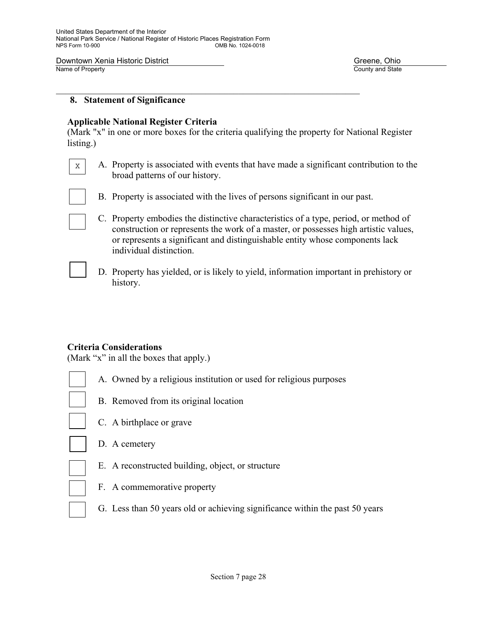County and State

#### **8. Statement of Significance**

#### **Applicable National Register Criteria**

(Mark "x" in one or more boxes for the criteria qualifying the property for National Register listing.)

 $\mathcal{L}_\text{max}$  , and the contribution of the contribution of the contribution of the contribution of the contribution of the contribution of the contribution of the contribution of the contribution of the contribution of t

A. Property is associated with events that have made a significant contribution to the broad patterns of our history. X



- B. Property is associated with the lives of persons significant in our past.
- C. Property embodies the distinctive characteristics of a type, period, or method of construction or represents the work of a master, or possesses high artistic values, or represents a significant and distinguishable entity whose components lack individual distinction.
- 
- D. Property has yielded, or is likely to yield, information important in prehistory or history.

#### **Criteria Considerations**

(Mark "x" in all the boxes that apply.)

- A. Owned by a religious institution or used for religious purposes
- 
- B. Removed from its original location
- 
- C. A birthplace or grave
- D. A cemetery
- E. A reconstructed building, object, or structure
- F. A commemorative property
- G. Less than 50 years old or achieving significance within the past 50 years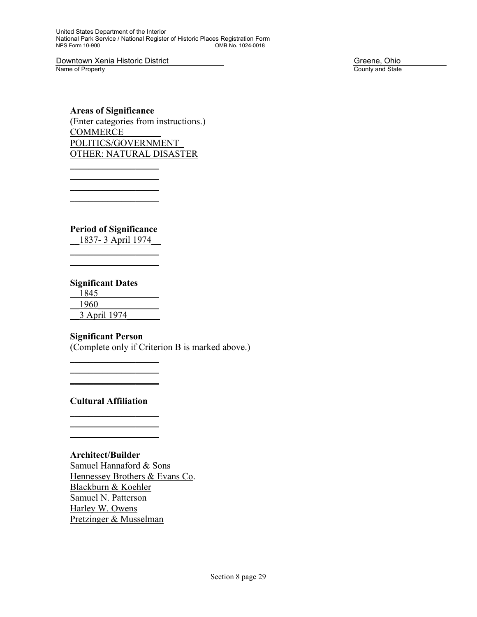United States Department of the Interior National Park Service / National Register of Historic Places Registration Form OMB No. 1024-0018

**Downtown Xenia Historic District** Controllering Community Community Community Community County and State County and State

County and State

**Areas of Significance**  (Enter categories from instructions.) COMMERCE\_\_\_\_\_\_\_\_ POLITICS/GOVERNMENT\_ OTHER: NATURAL DISASTER

**Period of Significance** 

 $\_$  $\overline{\phantom{a}}$  , where  $\overline{\phantom{a}}$  $\overline{\phantom{a}}$  , where  $\overline{\phantom{a}}$  $\overline{\phantom{a}}$  , where  $\overline{\phantom{a}}$ 

\_\_1837- 3 April 1974\_\_  $\overline{\phantom{a}}$  , where  $\overline{\phantom{a}}$ 

 $\mathcal{L}=\mathcal{L}^{\mathcal{L}}$ 

#### **Significant Dates**

\_\_1845\_\_\_\_\_\_\_\_\_\_\_\_\_ \_\_1960\_\_\_\_\_\_\_\_\_\_\_\_\_ \_\_3 April 1974\_\_\_\_\_\_\_

#### **Significant Person**

 $\overline{\phantom{a}}$  , where  $\overline{\phantom{a}}$  $\overline{\phantom{a}}$  , where  $\overline{\phantom{a}}$  $\mathcal{L}=\mathcal{L}^{\mathcal{L}}$ 

(Complete only if Criterion B is marked above.)

#### **Cultural Affiliation**

 $\overline{\phantom{a}}$  , where  $\overline{\phantom{a}}$  $\mathcal{L}=\underbrace{\mathcal{L}=\mathcal{L}=\mathcal{L}=\mathcal{L}=\mathcal{L}=\mathcal{L}=\mathcal{L}=\mathcal{L}=\mathcal{L}=\mathcal{L}=\mathcal{L}=\mathcal{L}=\mathcal{L}=\mathcal{L}=\mathcal{L}=\mathcal{L}=\mathcal{L}=\mathcal{L}=\mathcal{L}=\mathcal{L}=\mathcal{L}=\mathcal{L}=\mathcal{L}=\mathcal{L}=\mathcal{L}=\mathcal{L}=\mathcal{L}=\mathcal{L}=\mathcal{L}=\mathcal{L}=\mathcal{L}=\mathcal{L}=\mathcal{L}=\mathcal{L}=\mathcal{L}=\$  $\mathcal{L}=\frac{1}{2}$  , where  $\mathcal{L}=\frac{1}{2}$  , where  $\mathcal{L}=\frac{1}{2}$ 

#### **Architect/Builder**

 Samuel Hannaford & Sons Hennessey Brothers & Evans Co. Blackburn & Koehler Samuel N. Patterson Harley W. Owens Pretzinger & Musselman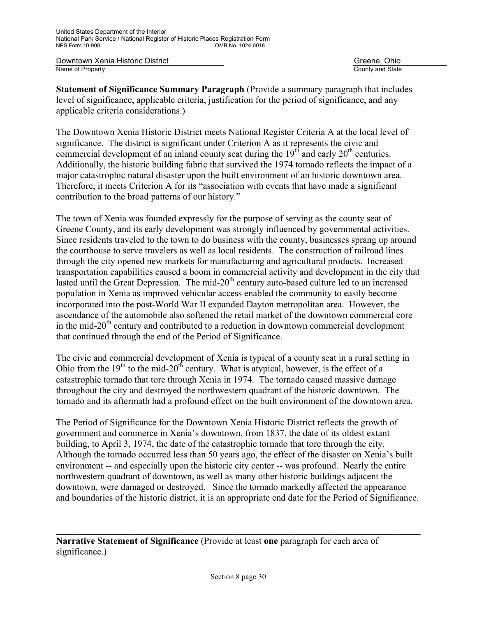**Downtown Xenia Historic District** Greene, Ohio **Greene, Ohio**<br>
Name of Property Greene, Ohio

County and State

**Statement of Significance Summary Paragraph** (Provide a summary paragraph that includes level of significance, applicable criteria, justification for the period of significance, and any applicable criteria considerations.)

The Downtown Xenia Historic District meets National Register Criteria A at the local level of significance. The district is significant under Criterion A as it represents the civic and commercial development of an inland county seat during the  $19<sup>th</sup>$  and early  $20<sup>th</sup>$  centuries. Additionally, the historic building fabric that survived the 1974 tornado reflects the impact of a major catastrophic natural disaster upon the built environment of an historic downtown area. Therefore, it meets Criterion A for its "association with events that have made a significant contribution to the broad patterns of our history."

The town of Xenia was founded expressly for the purpose of serving as the county seat of Greene County, and its early development was strongly influenced by governmental activities. Since residents traveled to the town to do business with the county, businesses sprang up around the courthouse to serve travelers as well as local residents. The construction of railroad lines through the city opened new markets for manufacturing and agricultural products. Increased transportation capabilities caused a boom in commercial activity and development in the city that lasted until the Great Depression. The mid-20<sup>th</sup> century auto-based culture led to an increased population in Xenia as improved vehicular access enabled the community to easily become incorporated into the post-World War II expanded Dayton metropolitan area. However, the ascendance of the automobile also softened the retail market of the downtown commercial core in the mid- $20<sup>th</sup>$  century and contributed to a reduction in downtown commercial development that continued through the end of the Period of Significance.

The civic and commercial development of Xenia is typical of a county seat in a rural setting in Ohio from the  $19<sup>th</sup>$  to the mid-20<sup>th</sup> century. What is atypical, however, is the effect of a catastrophic tornado that tore through Xenia in 1974. The tornado caused massive damage throughout the city and destroyed the northwestern quadrant of the historic downtown. The tornado and its aftermath had a profound effect on the built environment of the downtown area.

The Period of Significance for the Downtown Xenia Historic District reflects the growth of government and commerce in Xenia's downtown, from 1837, the date of its oldest extant building, to April 3, 1974, the date of the catastrophic tornado that tore through the city. Although the tornado occurred less than 50 years ago, the effect of the disaster on Xenia's built environment -- and especially upon the historic city center -- was profound. Nearly the entire northwestern quadrant of downtown, as well as many other historic buildings adjacent the downtown, were damaged or destroyed. Since the tornado markedly affected the appearance and boundaries of the historic district, it is an appropriate end date for the Period of Significance.

**Narrative Statement of Significance** (Provide at least **one** paragraph for each area of significance.)

 $\mathcal{L}_\mathcal{L} = \{ \mathcal{L}_\mathcal{L} = \{ \mathcal{L}_\mathcal{L} = \{ \mathcal{L}_\mathcal{L} = \{ \mathcal{L}_\mathcal{L} = \{ \mathcal{L}_\mathcal{L} = \{ \mathcal{L}_\mathcal{L} = \{ \mathcal{L}_\mathcal{L} = \{ \mathcal{L}_\mathcal{L} = \{ \mathcal{L}_\mathcal{L} = \{ \mathcal{L}_\mathcal{L} = \{ \mathcal{L}_\mathcal{L} = \{ \mathcal{L}_\mathcal{L} = \{ \mathcal{L}_\mathcal{L} = \{ \mathcal{L}_\mathcal{$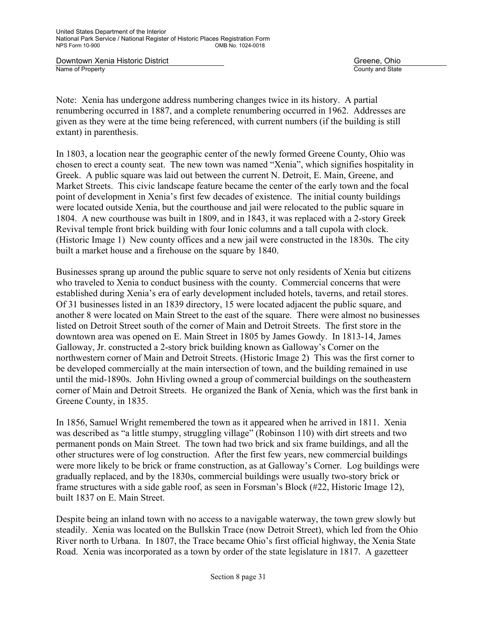County and State

Note: Xenia has undergone address numbering changes twice in its history. A partial renumbering occurred in 1887, and a complete renumbering occurred in 1962. Addresses are given as they were at the time being referenced, with current numbers (if the building is still extant) in parenthesis.

In 1803, a location near the geographic center of the newly formed Greene County, Ohio was chosen to erect a county seat. The new town was named "Xenia", which signifies hospitality in Greek. A public square was laid out between the current N. Detroit, E. Main, Greene, and Market Streets. This civic landscape feature became the center of the early town and the focal point of development in Xenia's first few decades of existence. The initial county buildings were located outside Xenia, but the courthouse and jail were relocated to the public square in 1804. A new courthouse was built in 1809, and in 1843, it was replaced with a 2-story Greek Revival temple front brick building with four Ionic columns and a tall cupola with clock. (Historic Image 1) New county offices and a new jail were constructed in the 1830s. The city built a market house and a firehouse on the square by 1840.

Businesses sprang up around the public square to serve not only residents of Xenia but citizens who traveled to Xenia to conduct business with the county. Commercial concerns that were established during Xenia's era of early development included hotels, taverns, and retail stores. Of 31 businesses listed in an 1839 directory, 15 were located adjacent the public square, and another 8 were located on Main Street to the east of the square. There were almost no businesses listed on Detroit Street south of the corner of Main and Detroit Streets. The first store in the downtown area was opened on E. Main Street in 1805 by James Gowdy. In 1813-14, James Galloway, Jr. constructed a 2-story brick building known as Galloway's Corner on the northwestern corner of Main and Detroit Streets. (Historic Image 2) This was the first corner to be developed commercially at the main intersection of town, and the building remained in use until the mid-1890s. John Hivling owned a group of commercial buildings on the southeastern corner of Main and Detroit Streets. He organized the Bank of Xenia, which was the first bank in Greene County, in 1835.

In 1856, Samuel Wright remembered the town as it appeared when he arrived in 1811. Xenia was described as "a little stumpy, struggling village" (Robinson 110) with dirt streets and two permanent ponds on Main Street. The town had two brick and six frame buildings, and all the other structures were of log construction. After the first few years, new commercial buildings were more likely to be brick or frame construction, as at Galloway's Corner. Log buildings were gradually replaced, and by the 1830s, commercial buildings were usually two-story brick or frame structures with a side gable roof, as seen in Forsman's Block (#22, Historic Image 12), built 1837 on E. Main Street.

Despite being an inland town with no access to a navigable waterway, the town grew slowly but steadily. Xenia was located on the Bullskin Trace (now Detroit Street), which led from the Ohio River north to Urbana. In 1807, the Trace became Ohio's first official highway, the Xenia State Road. Xenia was incorporated as a town by order of the state legislature in 1817. A gazetteer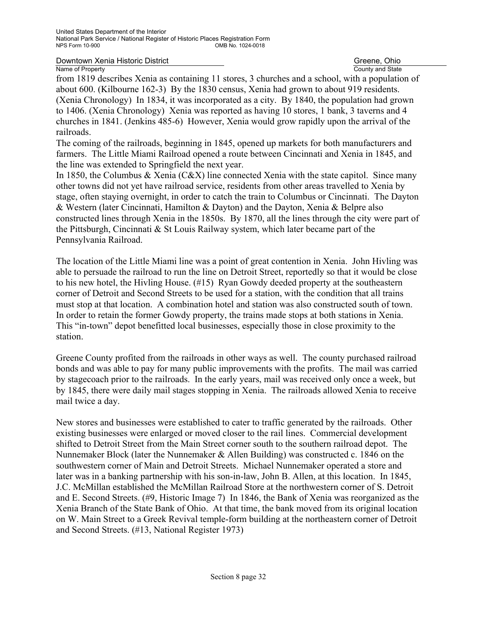Downtown Xenia Historic District Greene, Ohio Creene, Ohio

Name of Property County and State from 1819 describes Xenia as containing 11 stores, 3 churches and a school, with a population of about 600. (Kilbourne 162-3) By the 1830 census, Xenia had grown to about 919 residents. (Xenia Chronology) In 1834, it was incorporated as a city. By 1840, the population had grown to 1406. (Xenia Chronology) Xenia was reported as having 10 stores, 1 bank, 3 taverns and 4 churches in 1841. (Jenkins 485-6) However, Xenia would grow rapidly upon the arrival of the railroads.

The coming of the railroads, beginning in 1845, opened up markets for both manufacturers and farmers. The Little Miami Railroad opened a route between Cincinnati and Xenia in 1845, and the line was extended to Springfield the next year.

In 1850, the Columbus & Xenia  $(C&X)$  line connected Xenia with the state capitol. Since many other towns did not yet have railroad service, residents from other areas travelled to Xenia by stage, often staying overnight, in order to catch the train to Columbus or Cincinnati. The Dayton & Western (later Cincinnati, Hamilton & Dayton) and the Dayton, Xenia & Belpre also constructed lines through Xenia in the 1850s. By 1870, all the lines through the city were part of the Pittsburgh, Cincinnati & St Louis Railway system, which later became part of the Pennsylvania Railroad.

The location of the Little Miami line was a point of great contention in Xenia. John Hivling was able to persuade the railroad to run the line on Detroit Street, reportedly so that it would be close to his new hotel, the Hivling House. (#15) Ryan Gowdy deeded property at the southeastern corner of Detroit and Second Streets to be used for a station, with the condition that all trains must stop at that location. A combination hotel and station was also constructed south of town. In order to retain the former Gowdy property, the trains made stops at both stations in Xenia. This "in-town" depot benefitted local businesses, especially those in close proximity to the station.

Greene County profited from the railroads in other ways as well. The county purchased railroad bonds and was able to pay for many public improvements with the profits. The mail was carried by stagecoach prior to the railroads. In the early years, mail was received only once a week, but by 1845, there were daily mail stages stopping in Xenia. The railroads allowed Xenia to receive mail twice a day.

New stores and businesses were established to cater to traffic generated by the railroads. Other existing businesses were enlarged or moved closer to the rail lines. Commercial development shifted to Detroit Street from the Main Street corner south to the southern railroad depot. The Nunnemaker Block (later the Nunnemaker & Allen Building) was constructed c. 1846 on the southwestern corner of Main and Detroit Streets. Michael Nunnemaker operated a store and later was in a banking partnership with his son-in-law, John B. Allen, at this location. In 1845, J.C. McMillan established the McMillan Railroad Store at the northwestern corner of S. Detroit and E. Second Streets. (#9, Historic Image 7) In 1846, the Bank of Xenia was reorganized as the Xenia Branch of the State Bank of Ohio. At that time, the bank moved from its original location on W. Main Street to a Greek Revival temple-form building at the northeastern corner of Detroit and Second Streets. (#13, National Register 1973)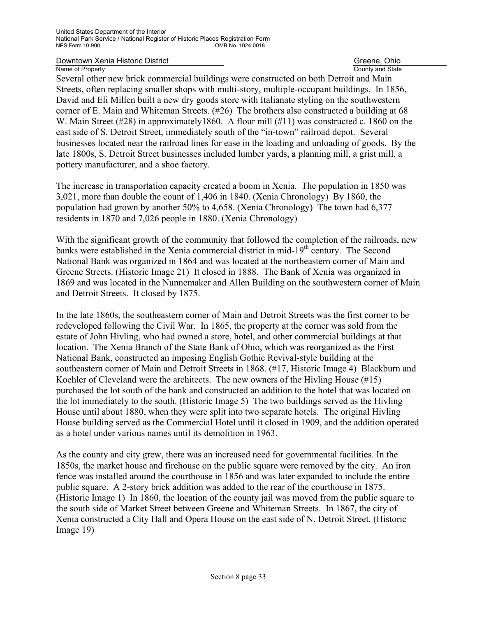County and State

Several other new brick commercial buildings were constructed on both Detroit and Main Streets, often replacing smaller shops with multi-story, multiple-occupant buildings. In 1856, David and Eli Millen built a new dry goods store with Italianate styling on the southwestern corner of E. Main and Whiteman Streets. (#26) The brothers also constructed a building at 68 W. Main Street  $(\#28)$  in approximately 1860. A flour mill  $(\#11)$  was constructed c. 1860 on the east side of S. Detroit Street, immediately south of the "in-town" railroad depot. Several businesses located near the railroad lines for ease in the loading and unloading of goods. By the late 1800s, S. Detroit Street businesses included lumber yards, a planning mill, a grist mill, a pottery manufacturer, and a shoe factory.

The increase in transportation capacity created a boom in Xenia. The population in 1850 was 3,021, more than double the count of 1,406 in 1840. (Xenia Chronology) By 1860, the population had grown by another 50% to 4,658. (Xenia Chronology) The town had 6,377 residents in 1870 and 7,026 people in 1880. (Xenia Chronology)

With the significant growth of the community that followed the completion of the railroads, new banks were established in the Xenia commercial district in mid-19<sup>th</sup> century. The Second National Bank was organized in 1864 and was located at the northeastern corner of Main and Greene Streets. (Historic Image 21) It closed in 1888. The Bank of Xenia was organized in 1869 and was located in the Nunnemaker and Allen Building on the southwestern corner of Main and Detroit Streets. It closed by 1875.

In the late 1860s, the southeastern corner of Main and Detroit Streets was the first corner to be redeveloped following the Civil War. In 1865, the property at the corner was sold from the estate of John Hivling, who had owned a store, hotel, and other commercial buildings at that location. The Xenia Branch of the State Bank of Ohio, which was reorganized as the First National Bank, constructed an imposing English Gothic Revival-style building at the southeastern corner of Main and Detroit Streets in 1868. (#17, Historic Image 4) Blackburn and Koehler of Cleveland were the architects. The new owners of the Hivling House (#15) purchased the lot south of the bank and constructed an addition to the hotel that was located on the lot immediately to the south. (Historic Image 5) The two buildings served as the Hivling House until about 1880, when they were split into two separate hotels. The original Hivling House building served as the Commercial Hotel until it closed in 1909, and the addition operated as a hotel under various names until its demolition in 1963.

As the county and city grew, there was an increased need for governmental facilities. In the 1850s, the market house and firehouse on the public square were removed by the city. An iron fence was installed around the courthouse in 1856 and was later expanded to include the entire public square. A 2-story brick addition was added to the rear of the courthouse in 1875. (Historic Image 1) In 1860, the location of the county jail was moved from the public square to the south side of Market Street between Greene and Whiteman Streets. In 1867, the city of Xenia constructed a City Hall and Opera House on the east side of N. Detroit Street. (Historic Image 19)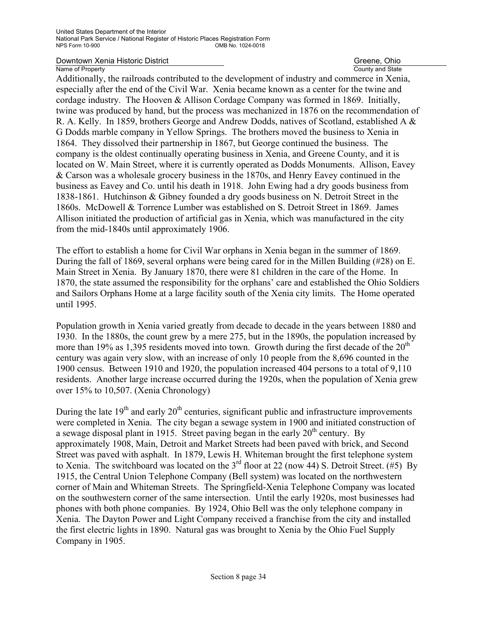County and State

Additionally, the railroads contributed to the development of industry and commerce in Xenia, especially after the end of the Civil War. Xenia became known as a center for the twine and cordage industry. The Hooven & Allison Cordage Company was formed in 1869. Initially, twine was produced by hand, but the process was mechanized in 1876 on the recommendation of R. A. Kelly. In 1859, brothers George and Andrew Dodds, natives of Scotland, established A & G Dodds marble company in Yellow Springs. The brothers moved the business to Xenia in 1864. They dissolved their partnership in 1867, but George continued the business. The company is the oldest continually operating business in Xenia, and Greene County, and it is located on W. Main Street, where it is currently operated as Dodds Monuments. Allison, Eavey & Carson was a wholesale grocery business in the 1870s, and Henry Eavey continued in the business as Eavey and Co. until his death in 1918. John Ewing had a dry goods business from 1838-1861. Hutchinson & Gibney founded a dry goods business on N. Detroit Street in the 1860s. McDowell & Torrence Lumber was established on S. Detroit Street in 1869. James Allison initiated the production of artificial gas in Xenia, which was manufactured in the city from the mid-1840s until approximately 1906.

The effort to establish a home for Civil War orphans in Xenia began in the summer of 1869. During the fall of 1869, several orphans were being cared for in the Millen Building (#28) on E. Main Street in Xenia. By January 1870, there were 81 children in the care of the Home. In 1870, the state assumed the responsibility for the orphans' care and established the Ohio Soldiers and Sailors Orphans Home at a large facility south of the Xenia city limits. The Home operated until 1995.

Population growth in Xenia varied greatly from decade to decade in the years between 1880 and 1930. In the 1880s, the count grew by a mere 275, but in the 1890s, the population increased by more than 19% as 1,395 residents moved into town. Growth during the first decade of the  $20<sup>th</sup>$ century was again very slow, with an increase of only 10 people from the 8,696 counted in the 1900 census. Between 1910 and 1920, the population increased 404 persons to a total of 9,110 residents. Another large increase occurred during the 1920s, when the population of Xenia grew over 15% to 10,507. (Xenia Chronology)

During the late  $19<sup>th</sup>$  and early  $20<sup>th</sup>$  centuries, significant public and infrastructure improvements were completed in Xenia. The city began a sewage system in 1900 and initiated construction of a sewage disposal plant in 1915. Street paving began in the early  $20<sup>th</sup>$  century. By approximately 1908, Main, Detroit and Market Streets had been paved with brick, and Second Street was paved with asphalt. In 1879, Lewis H. Whiteman brought the first telephone system to Xenia. The switchboard was located on the  $3<sup>rd</sup>$  floor at 22 (now 44) S. Detroit Street. (#5) By 1915, the Central Union Telephone Company (Bell system) was located on the northwestern corner of Main and Whiteman Streets. The Springfield-Xenia Telephone Company was located on the southwestern corner of the same intersection. Until the early 1920s, most businesses had phones with both phone companies. By 1924, Ohio Bell was the only telephone company in Xenia. The Dayton Power and Light Company received a franchise from the city and installed the first electric lights in 1890. Natural gas was brought to Xenia by the Ohio Fuel Supply Company in 1905.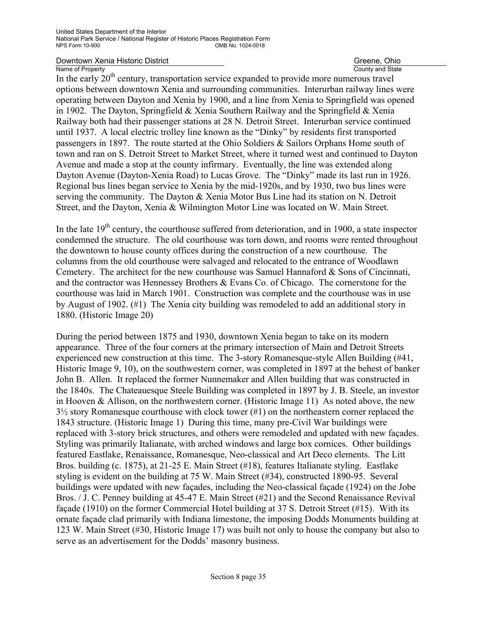# **Downtown Xenia Historic District Canadian Control Control County and State** Greene, Ohio County and State

Name of Property<br>In the early 20<sup>th</sup> century, transportation service expanded to provide more numerous travel options between downtown Xenia and surrounding communities. Interurban railway lines were operating between Dayton and Xenia by 1900, and a line from Xenia to Springfield was opened in 1902. The Dayton, Springfield & Xenia Southern Railway and the Springfield & Xenia Railway both had their passenger stations at 28 N. Detroit Street. Interurban service continued until 1937. A local electric trolley line known as the "Dinky" by residents first transported passengers in 1897. The route started at the Ohio Soldiers & Sailors Orphans Home south of town and ran on S. Detroit Street to Market Street, where it turned west and continued to Dayton Avenue and made a stop at the county infirmary. Eventually, the line was extended along Dayton Avenue (Dayton-Xenia Road) to Lucas Grove. The "Dinky" made its last run in 1926. Regional bus lines began service to Xenia by the mid-1920s, and by 1930, two bus lines were serving the community. The Dayton & Xenia Motor Bus Line had its station on N. Detroit Street, and the Dayton, Xenia & Wilmington Motor Line was located on W. Main Street.

In the late  $19<sup>th</sup>$  century, the courthouse suffered from deterioration, and in 1900, a state inspector condemned the structure. The old courthouse was torn down, and rooms were rented throughout the downtown to house county offices during the construction of a new courthouse. The columns from the old courthouse were salvaged and relocated to the entrance of Woodlawn Cemetery. The architect for the new courthouse was Samuel Hannaford & Sons of Cincinnati, and the contractor was Hennessey Brothers & Evans Co. of Chicago. The cornerstone for the courthouse was laid in March 1901. Construction was complete and the courthouse was in use by August of 1902. (#1) The Xenia city building was remodeled to add an additional story in 1880. (Historic Image 20)

During the period between 1875 and 1930, downtown Xenia began to take on its modern appearance. Three of the four corners at the primary intersection of Main and Detroit Streets experienced new construction at this time. The 3-story Romanesque-style Allen Building (#41, Historic Image 9, 10), on the southwestern corner, was completed in 1897 at the behest of banker John B. Allen. It replaced the former Nunnemaker and Allen building that was constructed in the 1840s. The Chateauesque Steele Building was completed in 1897 by J. B. Steele, an investor in Hooven & Allison, on the northwestern corner. (Historic Image 11) As noted above, the new  $3\frac{1}{2}$  story Romanesque courthouse with clock tower (#1) on the northeastern corner replaced the 1843 structure. (Historic Image 1) During this time, many pre-Civil War buildings were replaced with 3-story brick structures, and others were remodeled and updated with new façades. Styling was primarily Italianate, with arched windows and large box cornices. Other buildings featured Eastlake, Renaissance, Romanesque, Neo-classical and Art Deco elements. The Litt Bros. building (c. 1875), at 21-25 E. Main Street (#18), features Italianate styling. Eastlake styling is evident on the building at 75 W. Main Street (#34), constructed 1890-95. Several buildings were updated with new façades, including the Neo-classical façade (1924) on the Jobe Bros. / J. C. Penney building at 45-47 E. Main Street (#21) and the Second Renaissance Revival façade (1910) on the former Commercial Hotel building at 37 S. Detroit Street (#15). With its ornate façade clad primarily with Indiana limestone, the imposing Dodds Monuments building at 123 W. Main Street (#30, Historic Image 17) was built not only to house the company but also to serve as an advertisement for the Dodds' masonry business.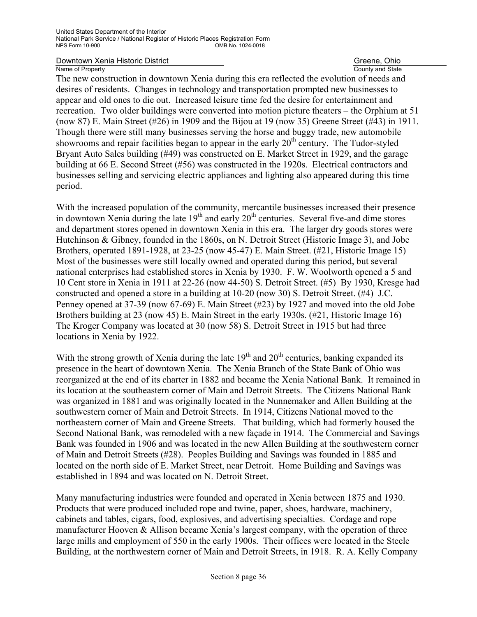**Downtown Xenia Historic District** Community Community Community Community Community Community Country and State Country and State

County and State

The new construction in downtown Xenia during this era reflected the evolution of needs and desires of residents. Changes in technology and transportation prompted new businesses to appear and old ones to die out. Increased leisure time fed the desire for entertainment and recreation. Two older buildings were converted into motion picture theaters – the Orphium at 51 (now 87) E. Main Street (#26) in 1909 and the Bijou at 19 (now 35) Greene Street (#43) in 1911. Though there were still many businesses serving the horse and buggy trade, new automobile showrooms and repair facilities began to appear in the early  $20<sup>th</sup>$  century. The Tudor-styled Bryant Auto Sales building (#49) was constructed on E. Market Street in 1929, and the garage building at 66 E. Second Street (#56) was constructed in the 1920s. Electrical contractors and businesses selling and servicing electric appliances and lighting also appeared during this time period.

With the increased population of the community, mercantile businesses increased their presence in downtown Xenia during the late  $19<sup>th</sup>$  and early  $20<sup>th</sup>$  centuries. Several five-and dime stores and department stores opened in downtown Xenia in this era. The larger dry goods stores were Hutchinson & Gibney, founded in the 1860s, on N. Detroit Street (Historic Image 3), and Jobe Brothers, operated 1891-1928, at 23-25 (now 45-47) E. Main Street. (#21, Historic Image 15) Most of the businesses were still locally owned and operated during this period, but several national enterprises had established stores in Xenia by 1930. F. W. Woolworth opened a 5 and 10 Cent store in Xenia in 1911 at 22-26 (now 44-50) S. Detroit Street. (#5) By 1930, Kresge had constructed and opened a store in a building at 10-20 (now 30) S. Detroit Street. (#4) J.C. Penney opened at 37-39 (now 67-69) E. Main Street (#23) by 1927 and moved into the old Jobe Brothers building at 23 (now 45) E. Main Street in the early 1930s. (#21, Historic Image 16) The Kroger Company was located at 30 (now 58) S. Detroit Street in 1915 but had three locations in Xenia by 1922.

With the strong growth of Xenia during the late  $19<sup>th</sup>$  and  $20<sup>th</sup>$  centuries, banking expanded its presence in the heart of downtown Xenia. The Xenia Branch of the State Bank of Ohio was reorganized at the end of its charter in 1882 and became the Xenia National Bank. It remained in its location at the southeastern corner of Main and Detroit Streets. The Citizens National Bank was organized in 1881 and was originally located in the Nunnemaker and Allen Building at the southwestern corner of Main and Detroit Streets. In 1914, Citizens National moved to the northeastern corner of Main and Greene Streets. That building, which had formerly housed the Second National Bank, was remodeled with a new façade in 1914. The Commercial and Savings Bank was founded in 1906 and was located in the new Allen Building at the southwestern corner of Main and Detroit Streets (#28). Peoples Building and Savings was founded in 1885 and located on the north side of E. Market Street, near Detroit. Home Building and Savings was established in 1894 and was located on N. Detroit Street.

Many manufacturing industries were founded and operated in Xenia between 1875 and 1930. Products that were produced included rope and twine, paper, shoes, hardware, machinery, cabinets and tables, cigars, food, explosives, and advertising specialties. Cordage and rope manufacturer Hooven & Allison became Xenia's largest company, with the operation of three large mills and employment of 550 in the early 1900s. Their offices were located in the Steele Building, at the northwestern corner of Main and Detroit Streets, in 1918. R. A. Kelly Company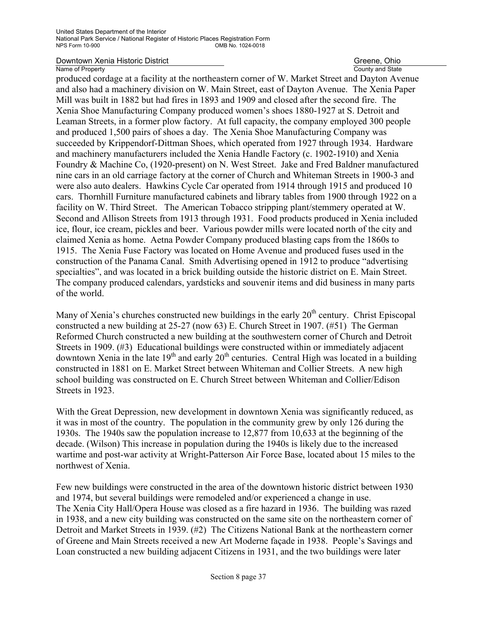County and State

produced cordage at a facility at the northeastern corner of W. Market Street and Dayton Avenue and also had a machinery division on W. Main Street, east of Dayton Avenue. The Xenia Paper Mill was built in 1882 but had fires in 1893 and 1909 and closed after the second fire. The Xenia Shoe Manufacturing Company produced women's shoes 1880-1927 at S. Detroit and Leaman Streets, in a former plow factory. At full capacity, the company employed 300 people and produced 1,500 pairs of shoes a day. The Xenia Shoe Manufacturing Company was succeeded by Krippendorf-Dittman Shoes, which operated from 1927 through 1934. Hardware and machinery manufacturers included the Xenia Handle Factory (c. 1902-1910) and Xenia Foundry & Machine Co, (1920-present) on N. West Street. Jake and Fred Baldner manufactured nine cars in an old carriage factory at the corner of Church and Whiteman Streets in 1900-3 and were also auto dealers. Hawkins Cycle Car operated from 1914 through 1915 and produced 10 cars. Thornhill Furniture manufactured cabinets and library tables from 1900 through 1922 on a facility on W. Third Street. The American Tobacco stripping plant/stemmery operated at W. Second and Allison Streets from 1913 through 1931. Food products produced in Xenia included ice, flour, ice cream, pickles and beer. Various powder mills were located north of the city and claimed Xenia as home. Aetna Powder Company produced blasting caps from the 1860s to 1915. The Xenia Fuse Factory was located on Home Avenue and produced fuses used in the construction of the Panama Canal. Smith Advertising opened in 1912 to produce "advertising specialties", and was located in a brick building outside the historic district on E. Main Street. The company produced calendars, yardsticks and souvenir items and did business in many parts of the world.

Many of Xenia's churches constructed new buildings in the early  $20<sup>th</sup>$  century. Christ Episcopal constructed a new building at 25-27 (now 63) E. Church Street in 1907. (#51) The German Reformed Church constructed a new building at the southwestern corner of Church and Detroit Streets in 1909. (#3) Educational buildings were constructed within or immediately adjacent downtown Xenia in the late  $19<sup>th</sup>$  and early  $20<sup>th</sup>$  centuries. Central High was located in a building constructed in 1881 on E. Market Street between Whiteman and Collier Streets. A new high school building was constructed on E. Church Street between Whiteman and Collier/Edison Streets in 1923.

With the Great Depression, new development in downtown Xenia was significantly reduced, as it was in most of the country. The population in the community grew by only 126 during the 1930s. The 1940s saw the population increase to 12,877 from 10,633 at the beginning of the decade. (Wilson) This increase in population during the 1940s is likely due to the increased wartime and post-war activity at Wright-Patterson Air Force Base, located about 15 miles to the northwest of Xenia.

Few new buildings were constructed in the area of the downtown historic district between 1930 and 1974, but several buildings were remodeled and/or experienced a change in use. The Xenia City Hall/Opera House was closed as a fire hazard in 1936. The building was razed in 1938, and a new city building was constructed on the same site on the northeastern corner of Detroit and Market Streets in 1939. (#2) The Citizens National Bank at the northeastern corner of Greene and Main Streets received a new Art Moderne façade in 1938. People's Savings and Loan constructed a new building adjacent Citizens in 1931, and the two buildings were later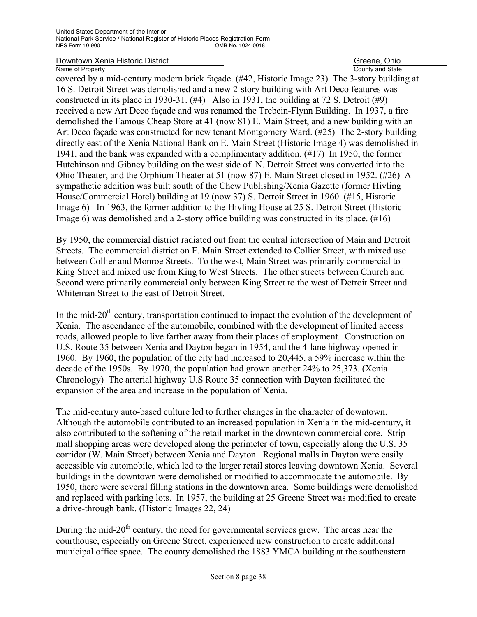County and State

covered by a mid-century modern brick façade. (#42, Historic Image 23) The 3-story building at 16 S. Detroit Street was demolished and a new 2-story building with Art Deco features was constructed in its place in 1930-31.  $(\#4)$  Also in 1931, the building at 72 S. Detroit  $(\#9)$ received a new Art Deco façade and was renamed the Trebein-Flynn Building. In 1937, a fire demolished the Famous Cheap Store at 41 (now 81) E. Main Street, and a new building with an Art Deco façade was constructed for new tenant Montgomery Ward. (#25) The 2-story building directly east of the Xenia National Bank on E. Main Street (Historic Image 4) was demolished in 1941, and the bank was expanded with a complimentary addition. (#17) In 1950, the former Hutchinson and Gibney building on the west side of N. Detroit Street was converted into the Ohio Theater, and the Orphium Theater at 51 (now 87) E. Main Street closed in 1952. (#26) A sympathetic addition was built south of the Chew Publishing/Xenia Gazette (former Hivling House/Commercial Hotel) building at 19 (now 37) S. Detroit Street in 1960. (#15, Historic Image 6) In 1963, the former addition to the Hivling House at 25 S. Detroit Street (Historic Image 6) was demolished and a 2-story office building was constructed in its place. (#16)

By 1950, the commercial district radiated out from the central intersection of Main and Detroit Streets. The commercial district on E. Main Street extended to Collier Street, with mixed use between Collier and Monroe Streets. To the west, Main Street was primarily commercial to King Street and mixed use from King to West Streets. The other streets between Church and Second were primarily commercial only between King Street to the west of Detroit Street and Whiteman Street to the east of Detroit Street.

In the mid-20<sup>th</sup> century, transportation continued to impact the evolution of the development of Xenia. The ascendance of the automobile, combined with the development of limited access roads, allowed people to live farther away from their places of employment. Construction on U.S. Route 35 between Xenia and Dayton began in 1954, and the 4-lane highway opened in 1960. By 1960, the population of the city had increased to 20,445, a 59% increase within the decade of the 1950s. By 1970, the population had grown another 24% to 25,373. (Xenia Chronology) The arterial highway U.S Route 35 connection with Dayton facilitated the expansion of the area and increase in the population of Xenia.

The mid-century auto-based culture led to further changes in the character of downtown. Although the automobile contributed to an increased population in Xenia in the mid-century, it also contributed to the softening of the retail market in the downtown commercial core. Stripmall shopping areas were developed along the perimeter of town, especially along the U.S. 35 corridor (W. Main Street) between Xenia and Dayton. Regional malls in Dayton were easily accessible via automobile, which led to the larger retail stores leaving downtown Xenia. Several buildings in the downtown were demolished or modified to accommodate the automobile. By 1950, there were several filling stations in the downtown area. Some buildings were demolished and replaced with parking lots. In 1957, the building at 25 Greene Street was modified to create a drive-through bank. (Historic Images 22, 24)

During the mid- $20<sup>th</sup>$  century, the need for governmental services grew. The areas near the courthouse, especially on Greene Street, experienced new construction to create additional municipal office space. The county demolished the 1883 YMCA building at the southeastern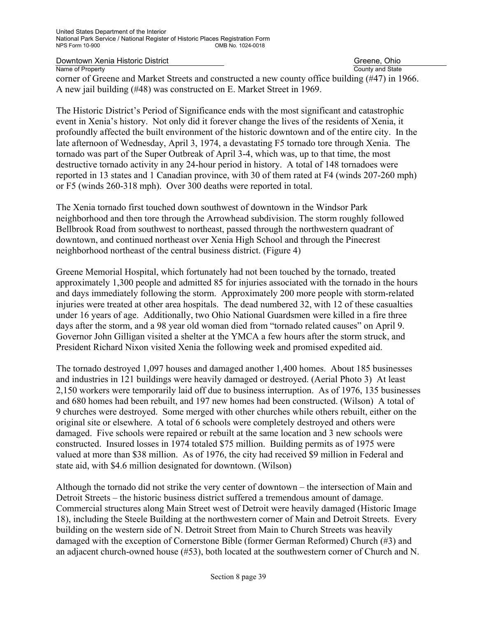County and State

corner of Greene and Market Streets and constructed a new county office building (#47) in 1966. A new jail building (#48) was constructed on E. Market Street in 1969.

The Historic District's Period of Significance ends with the most significant and catastrophic event in Xenia's history. Not only did it forever change the lives of the residents of Xenia, it profoundly affected the built environment of the historic downtown and of the entire city. In the late afternoon of Wednesday, April 3, 1974, a devastating F5 tornado tore through Xenia. The tornado was part of the Super Outbreak of April 3-4, which was, up to that time, the most destructive tornado activity in any 24-hour period in history. A total of 148 tornadoes were reported in 13 states and 1 Canadian province, with 30 of them rated at F4 (winds 207-260 mph) or F5 (winds 260-318 mph). Over 300 deaths were reported in total.

The Xenia tornado first touched down southwest of downtown in the Windsor Park neighborhood and then tore through the Arrowhead subdivision. The storm roughly followed Bellbrook Road from southwest to northeast, passed through the northwestern quadrant of downtown, and continued northeast over Xenia High School and through the Pinecrest neighborhood northeast of the central business district. (Figure 4)

Greene Memorial Hospital, which fortunately had not been touched by the tornado, treated approximately 1,300 people and admitted 85 for injuries associated with the tornado in the hours and days immediately following the storm. Approximately 200 more people with storm-related injuries were treated at other area hospitals. The dead numbered 32, with 12 of these casualties under 16 years of age. Additionally, two Ohio National Guardsmen were killed in a fire three days after the storm, and a 98 year old woman died from "tornado related causes" on April 9. Governor John Gilligan visited a shelter at the YMCA a few hours after the storm struck, and President Richard Nixon visited Xenia the following week and promised expedited aid.

The tornado destroyed 1,097 houses and damaged another 1,400 homes. About 185 businesses and industries in 121 buildings were heavily damaged or destroyed. (Aerial Photo 3) At least 2,150 workers were temporarily laid off due to business interruption. As of 1976, 135 businesses and 680 homes had been rebuilt, and 197 new homes had been constructed. (Wilson) A total of 9 churches were destroyed. Some merged with other churches while others rebuilt, either on the original site or elsewhere. A total of 6 schools were completely destroyed and others were damaged. Five schools were repaired or rebuilt at the same location and 3 new schools were constructed. Insured losses in 1974 totaled \$75 million. Building permits as of 1975 were valued at more than \$38 million. As of 1976, the city had received \$9 million in Federal and state aid, with \$4.6 million designated for downtown. (Wilson)

Although the tornado did not strike the very center of downtown – the intersection of Main and Detroit Streets – the historic business district suffered a tremendous amount of damage. Commercial structures along Main Street west of Detroit were heavily damaged (Historic Image 18), including the Steele Building at the northwestern corner of Main and Detroit Streets. Every building on the western side of N. Detroit Street from Main to Church Streets was heavily damaged with the exception of Cornerstone Bible (former German Reformed) Church (#3) and an adjacent church-owned house (#53), both located at the southwestern corner of Church and N.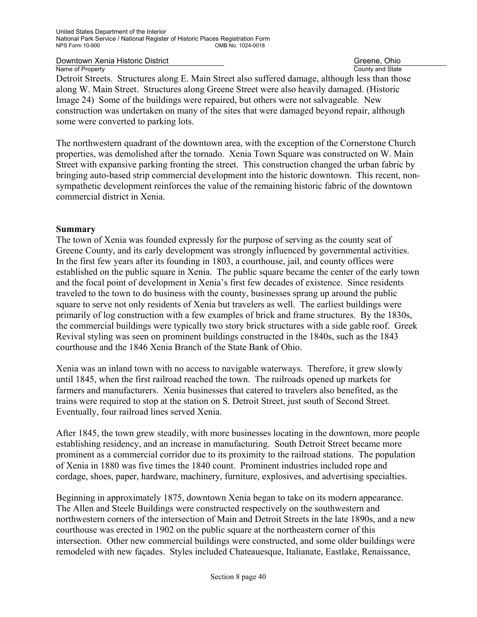**Downtown Xenia Historic District** Community Community Community Community Community Community Country and State Country and State

County and State

Detroit Streets. Structures along E. Main Street also suffered damage, although less than those along W. Main Street. Structures along Greene Street were also heavily damaged. (Historic Image 24) Some of the buildings were repaired, but others were not salvageable. New construction was undertaken on many of the sites that were damaged beyond repair, although some were converted to parking lots.

The northwestern quadrant of the downtown area, with the exception of the Cornerstone Church properties, was demolished after the tornado. Xenia Town Square was constructed on W. Main Street with expansive parking fronting the street. This construction changed the urban fabric by bringing auto-based strip commercial development into the historic downtown. This recent, nonsympathetic development reinforces the value of the remaining historic fabric of the downtown commercial district in Xenia.

#### **Summary**

The town of Xenia was founded expressly for the purpose of serving as the county seat of Greene County, and its early development was strongly influenced by governmental activities. In the first few years after its founding in 1803, a courthouse, jail, and county offices were established on the public square in Xenia. The public square became the center of the early town and the focal point of development in Xenia's first few decades of existence. Since residents traveled to the town to do business with the county, businesses sprang up around the public square to serve not only residents of Xenia but travelers as well. The earliest buildings were primarily of log construction with a few examples of brick and frame structures. By the 1830s, the commercial buildings were typically two story brick structures with a side gable roof. Greek Revival styling was seen on prominent buildings constructed in the 1840s, such as the 1843 courthouse and the 1846 Xenia Branch of the State Bank of Ohio.

Xenia was an inland town with no access to navigable waterways. Therefore, it grew slowly until 1845, when the first railroad reached the town. The railroads opened up markets for farmers and manufacturers. Xenia businesses that catered to travelers also benefited, as the trains were required to stop at the station on S. Detroit Street, just south of Second Street. Eventually, four railroad lines served Xenia.

After 1845, the town grew steadily, with more businesses locating in the downtown, more people establishing residency, and an increase in manufacturing. South Detroit Street became more prominent as a commercial corridor due to its proximity to the railroad stations. The population of Xenia in 1880 was five times the 1840 count. Prominent industries included rope and cordage, shoes, paper, hardware, machinery, furniture, explosives, and advertising specialties.

Beginning in approximately 1875, downtown Xenia began to take on its modern appearance. The Allen and Steele Buildings were constructed respectively on the southwestern and northwestern corners of the intersection of Main and Detroit Streets in the late 1890s, and a new courthouse was erected in 1902 on the public square at the northeastern corner of this intersection. Other new commercial buildings were constructed, and some older buildings were remodeled with new façades. Styles included Chateauesque, Italianate, Eastlake, Renaissance,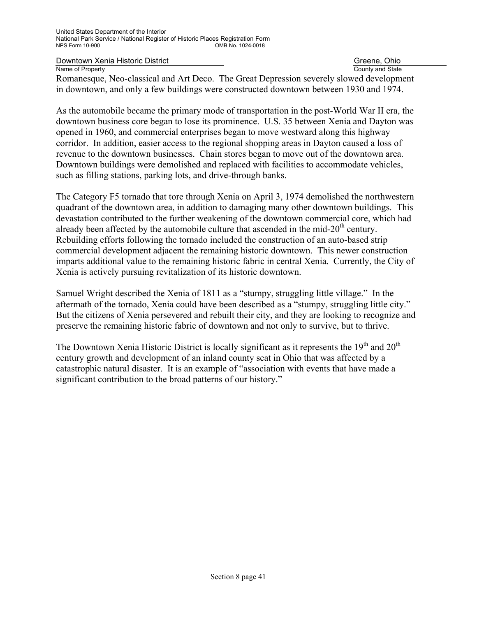**Downtown Xenia Historic District** Community Community Community Community Community Community Country and State Country and State

County and State

Romanesque, Neo-classical and Art Deco. The Great Depression severely slowed development in downtown, and only a few buildings were constructed downtown between 1930 and 1974.

As the automobile became the primary mode of transportation in the post-World War II era, the downtown business core began to lose its prominence. U.S. 35 between Xenia and Dayton was opened in 1960, and commercial enterprises began to move westward along this highway corridor. In addition, easier access to the regional shopping areas in Dayton caused a loss of revenue to the downtown businesses. Chain stores began to move out of the downtown area. Downtown buildings were demolished and replaced with facilities to accommodate vehicles, such as filling stations, parking lots, and drive-through banks.

The Category F5 tornado that tore through Xenia on April 3, 1974 demolished the northwestern quadrant of the downtown area, in addition to damaging many other downtown buildings. This devastation contributed to the further weakening of the downtown commercial core, which had already been affected by the automobile culture that ascended in the mid- $20<sup>th</sup>$  century. Rebuilding efforts following the tornado included the construction of an auto-based strip commercial development adjacent the remaining historic downtown. This newer construction imparts additional value to the remaining historic fabric in central Xenia. Currently, the City of Xenia is actively pursuing revitalization of its historic downtown.

Samuel Wright described the Xenia of 1811 as a "stumpy, struggling little village." In the aftermath of the tornado, Xenia could have been described as a "stumpy, struggling little city." But the citizens of Xenia persevered and rebuilt their city, and they are looking to recognize and preserve the remaining historic fabric of downtown and not only to survive, but to thrive.

The Downtown Xenia Historic District is locally significant as it represents the  $19<sup>th</sup>$  and  $20<sup>th</sup>$ century growth and development of an inland county seat in Ohio that was affected by a catastrophic natural disaster. It is an example of "association with events that have made a significant contribution to the broad patterns of our history."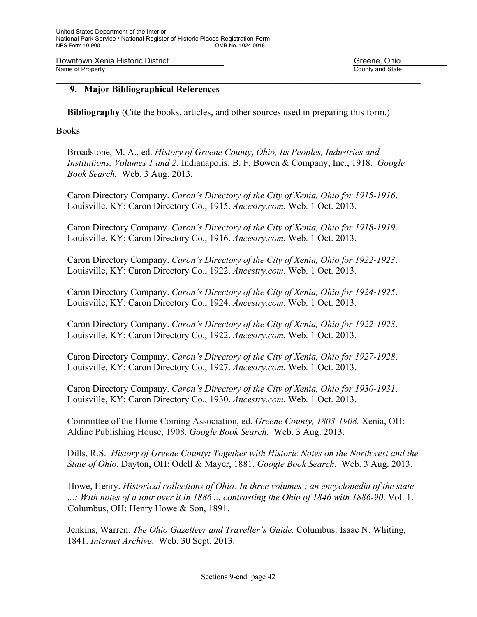Downtown Xenia Historic District Greene, Ohio Creene, Ohio Name of Property **County and State** 

#### **9. Major Bibliographical References**

**Bibliography** (Cite the books, articles, and other sources used in preparing this form.)

 $\mathcal{L}_\mathcal{L} = \mathcal{L}_\mathcal{L} = \mathcal{L}_\mathcal{L} = \mathcal{L}_\mathcal{L} = \mathcal{L}_\mathcal{L} = \mathcal{L}_\mathcal{L} = \mathcal{L}_\mathcal{L} = \mathcal{L}_\mathcal{L} = \mathcal{L}_\mathcal{L} = \mathcal{L}_\mathcal{L} = \mathcal{L}_\mathcal{L} = \mathcal{L}_\mathcal{L} = \mathcal{L}_\mathcal{L} = \mathcal{L}_\mathcal{L} = \mathcal{L}_\mathcal{L} = \mathcal{L}_\mathcal{L} = \mathcal{L}_\mathcal{L}$ 

Books

Broadstone, M. A., ed. *History of Greene County, Ohio, Its Peoples, Industries and Institutions, Volumes 1 and 2.* Indianapolis: B. F. Bowen & Company, Inc., 1918. *Google Book Search.* Web. 3 Aug. 2013.

Caron Directory Company. *Caron's Directory of the City of Xenia, Ohio for 1915-1916*. Louisville, KY: Caron Directory Co., 1915. *Ancestry.com*. Web. 1 Oct. 2013.

Caron Directory Company. *Caron's Directory of the City of Xenia, Ohio for 1918-1919*. Louisville, KY: Caron Directory Co., 1916. *Ancestry.com*. Web. 1 Oct. 2013.

Caron Directory Company. *Caron's Directory of the City of Xenia, Ohio for 1922-1923*. Louisville, KY: Caron Directory Co., 1922. *Ancestry.com*. Web. 1 Oct. 2013.

Caron Directory Company. *Caron's Directory of the City of Xenia, Ohio for 1924-1925*. Louisville, KY: Caron Directory Co., 1924. *Ancestry.com*. Web. 1 Oct. 2013.

Caron Directory Company. *Caron's Directory of the City of Xenia, Ohio for 1922-1923*. Louisville, KY: Caron Directory Co., 1922. *Ancestry.com*. Web. 1 Oct. 2013.

Caron Directory Company. *Caron's Directory of the City of Xenia, Ohio for 1927-1928*. Louisville, KY: Caron Directory Co., 1927. *Ancestry.com*. Web. 1 Oct. 2013.

Caron Directory Company. *Caron's Directory of the City of Xenia, Ohio for 1930-1931*. Louisville, KY: Caron Directory Co., 1930. *Ancestry.com*. Web. 1 Oct. 2013.

Committee of the Home Coming Association, ed. *Greene County, 1803-1908.* Xenia, OH: Aldine Publishing House, 1908. *Google Book Search.* Web. 3 Aug. 2013.

Dills, R.S. *History of Greene County: Together with Historic Notes on the Northwest and the State of Ohio.* Dayton, OH: Odell & Mayer, 1881. *Google Book Search.* Web. 3 Aug. 2013.

Howe, Henry. *Historical collections of Ohio: In three volumes ; an encyclopedia of the state ...: With notes of a tour over it in 1886 ... contrasting the Ohio of 1846 with 1886-90*. Vol. 1. Columbus, OH: Henry Howe & Son, 1891.

Jenkins, Warren. *The Ohio Gazetteer and Traveller's Guide.* Columbus: Isaac N. Whiting, 1841. *Internet Archive*. Web. 30 Sept. 2013.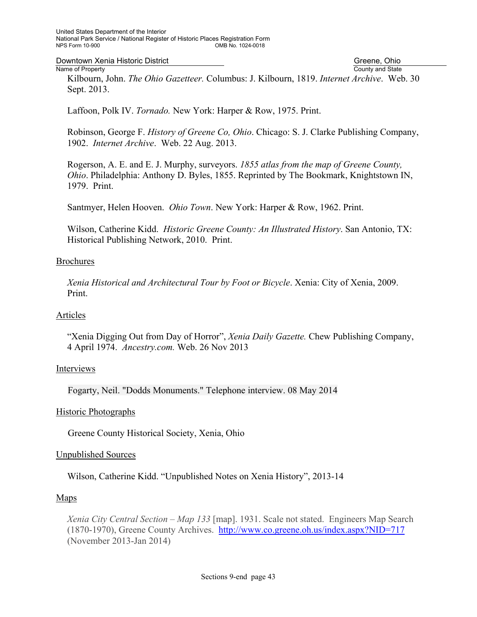Downtown Xenia Historic District Greene, Ohio

Name of Property County and State Kilbourn, John. *The Ohio Gazetteer.* Columbus: J. Kilbourn, 1819. *Internet Archive*. Web. 30 Sept. 2013.

Laffoon, Polk IV. *Tornado.* New York: Harper & Row, 1975. Print.

Robinson, George F. *History of Greene Co, Ohio*. Chicago: S. J. Clarke Publishing Company, 1902. *Internet Archive*. Web. 22 Aug. 2013.

Rogerson, A. E. and E. J. Murphy, surveyors. *1855 atlas from the map of Greene County, Ohio*. Philadelphia: Anthony D. Byles, 1855. Reprinted by The Bookmark, Knightstown IN, 1979. Print.

Santmyer, Helen Hooven. *Ohio Town*. New York: Harper & Row, 1962. Print.

Wilson, Catherine Kidd. *Historic Greene County: An Illustrated History*. San Antonio, TX: Historical Publishing Network, 2010. Print.

#### Brochures

*Xenia Historical and Architectural Tour by Foot or Bicycle*. Xenia: City of Xenia, 2009. Print.

#### Articles

"Xenia Digging Out from Day of Horror", *Xenia Daily Gazette.* Chew Publishing Company, 4 April 1974. *Ancestry.com.* Web. 26 Nov 2013

#### Interviews

Fogarty, Neil. "Dodds Monuments." Telephone interview. 08 May 2014

#### Historic Photographs

Greene County Historical Society, Xenia, Ohio

#### Unpublished Sources

Wilson, Catherine Kidd. "Unpublished Notes on Xenia History", 2013-14

#### Maps

*Xenia City Central Section – Map 133* [map]. 1931. Scale not stated. Engineers Map Search (1870-1970), Greene County Archives. http://www.co.greene.oh.us/index.aspx?NID=717 (November 2013-Jan 2014)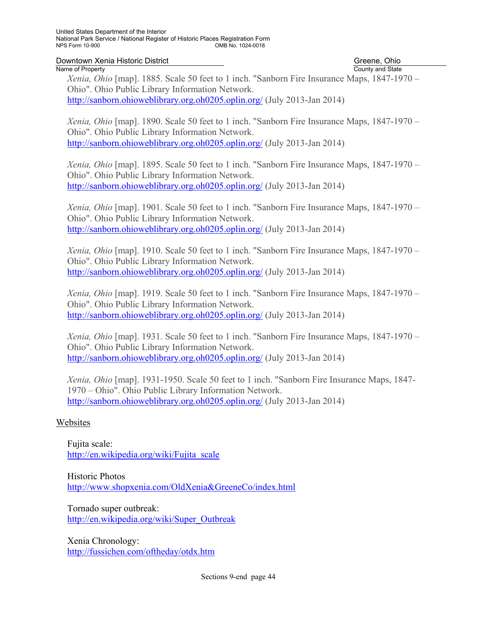**Downtown Xenia Historic District** Community Community Community Community Community Community Country and State Country and State

# County and State

*Xenia, Ohio* [map]. 1885. Scale 50 feet to 1 inch. "Sanborn Fire Insurance Maps, 1847-1970 – Ohio". Ohio Public Library Information Network.

http://sanborn.ohioweblibrary.org.oh0205.oplin.org/ (July 2013-Jan 2014)

*Xenia, Ohio* [map]. 1890. Scale 50 feet to 1 inch. "Sanborn Fire Insurance Maps, 1847-1970 – Ohio". Ohio Public Library Information Network. http://sanborn.ohioweblibrary.org.oh0205.oplin.org/ (July 2013-Jan 2014)

*Xenia, Ohio* [map]. 1895. Scale 50 feet to 1 inch. "Sanborn Fire Insurance Maps, 1847-1970 – Ohio". Ohio Public Library Information Network. http://sanborn.ohioweblibrary.org.oh0205.oplin.org/ (July 2013-Jan 2014)

*Xenia, Ohio* [map]. 1901. Scale 50 feet to 1 inch. "Sanborn Fire Insurance Maps, 1847-1970 – Ohio". Ohio Public Library Information Network. http://sanborn.ohioweblibrary.org.oh0205.oplin.org/ (July 2013-Jan 2014)

*Xenia, Ohio* [map]. 1910. Scale 50 feet to 1 inch. "Sanborn Fire Insurance Maps, 1847-1970 – Ohio". Ohio Public Library Information Network. http://sanborn.ohioweblibrary.org.oh0205.oplin.org/ (July 2013-Jan 2014)

*Xenia, Ohio* [map]. 1919. Scale 50 feet to 1 inch. "Sanborn Fire Insurance Maps, 1847-1970 – Ohio". Ohio Public Library Information Network. http://sanborn.ohioweblibrary.org.oh0205.oplin.org/ (July 2013-Jan 2014)

*Xenia, Ohio* [map]. 1931. Scale 50 feet to 1 inch. "Sanborn Fire Insurance Maps, 1847-1970 – Ohio". Ohio Public Library Information Network. http://sanborn.ohioweblibrary.org.oh0205.oplin.org/ (July 2013-Jan 2014)

*Xenia, Ohio* [map]. 1931-1950. Scale 50 feet to 1 inch. "Sanborn Fire Insurance Maps, 1847- 1970 – Ohio". Ohio Public Library Information Network. http://sanborn.ohioweblibrary.org.oh0205.oplin.org/ (July 2013-Jan 2014)

#### Websites

Fujita scale: http://en.wikipedia.org/wiki/Fujita\_scale

Historic Photos http://www.shopxenia.com/OldXenia&GreeneCo/index.html

Tornado super outbreak: http://en.wikipedia.org/wiki/Super\_Outbreak

Xenia Chronology: http://fussichen.com/oftheday/otdx.htm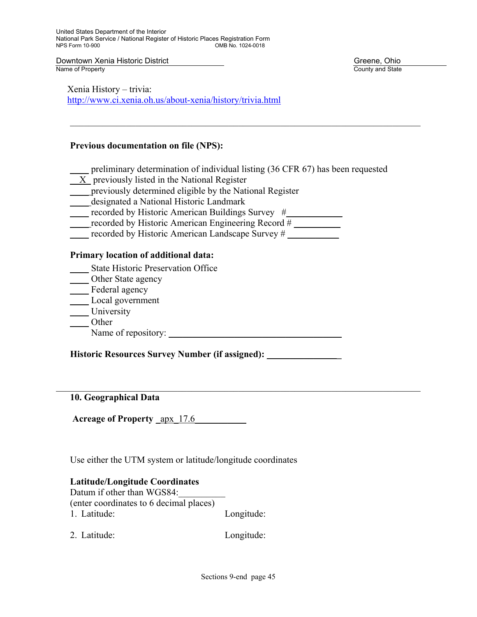Downtown Xenia Historic District Greene, Ohio<br>
Name of Property Greene, Ohio

County and State

Xenia History – trivia: http://www.ci.xenia.oh.us/about-xenia/history/trivia.html

#### **Previous documentation on file (NPS):**

\_\_\_\_ preliminary determination of individual listing (36 CFR 67) has been requested

 $\mathcal{L}_\mathcal{L} = \{ \mathcal{L}_\mathcal{L} = \{ \mathcal{L}_\mathcal{L} = \{ \mathcal{L}_\mathcal{L} = \{ \mathcal{L}_\mathcal{L} = \{ \mathcal{L}_\mathcal{L} = \{ \mathcal{L}_\mathcal{L} = \{ \mathcal{L}_\mathcal{L} = \{ \mathcal{L}_\mathcal{L} = \{ \mathcal{L}_\mathcal{L} = \{ \mathcal{L}_\mathcal{L} = \{ \mathcal{L}_\mathcal{L} = \{ \mathcal{L}_\mathcal{L} = \{ \mathcal{L}_\mathcal{L} = \{ \mathcal{L}_\mathcal{$ 

- \_\_X\_ previously listed in the National Register
- \_\_\_\_ previously determined eligible by the National Register
- \_\_\_\_ designated a National Historic Landmark
- recorded by Historic American Buildings Survey  $#$
- $\overline{\phantom{a}}$  recorded by Historic American Engineering Record #  $\overline{\phantom{a}}$
- recorded by Historic American Landscape Survey #

#### **Primary location of additional data:**

- \_\_\_\_ State Historic Preservation Office
- \_\_\_\_\_ Other State agency
- Federal agency
- \_\_\_\_ Local government
- \_\_\_\_ University
- \_\_\_\_ Other
- Name of repository: \_\_\_\_\_\_\_\_\_\_\_\_\_\_\_\_\_\_\_\_\_\_\_\_\_\_\_\_\_\_\_\_\_\_\_\_\_

**Historic Resources Survey Number (if assigned):** \_\_\_\_\_\_\_\_\_\_\_\_\_\_\_**\_** 

**10. Geographical Data** 

**Acreage of Property** <u>\_apx\_17.6</u>

Use either the UTM system or latitude/longitude coordinates

#### **Latitude/Longitude Coordinates**

Datum if other than WGS84: (enter coordinates to 6 decimal places) 1. Latitude: Longitude:

2. Latitude: Longitude:

 $\mathcal{L}_\mathcal{L} = \mathcal{L}_\mathcal{L} = \mathcal{L}_\mathcal{L} = \mathcal{L}_\mathcal{L} = \mathcal{L}_\mathcal{L} = \mathcal{L}_\mathcal{L} = \mathcal{L}_\mathcal{L} = \mathcal{L}_\mathcal{L} = \mathcal{L}_\mathcal{L} = \mathcal{L}_\mathcal{L} = \mathcal{L}_\mathcal{L} = \mathcal{L}_\mathcal{L} = \mathcal{L}_\mathcal{L} = \mathcal{L}_\mathcal{L} = \mathcal{L}_\mathcal{L} = \mathcal{L}_\mathcal{L} = \mathcal{L}_\mathcal{L}$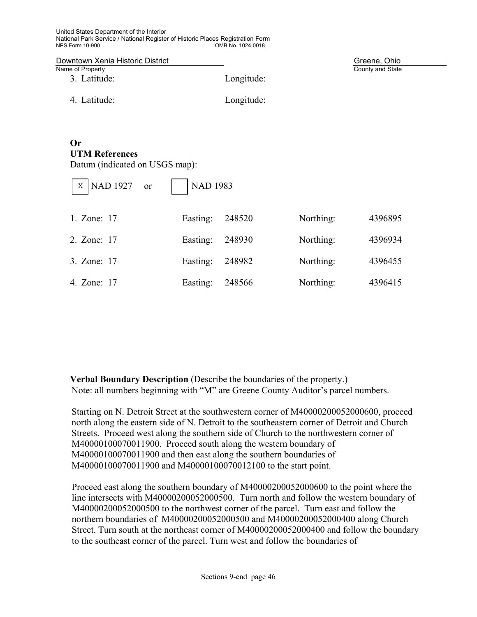United States Department of the Interior National Park Service / National Register of Historic Places Registration Form OMB No. 1024-0018

| Downtown Xenia Historic District |            | Greene, Ohio     |
|----------------------------------|------------|------------------|
| Name of Property                 |            | County and State |
| 3. Latitude:                     | Longitude: |                  |
| 4. Latitude:                     | Longitude: |                  |

## **Or UTM References**

Datum (indicated on USGS map):

| NAD 1927 or<br>X | <b>NAD 1983</b> |        |           |         |  |
|------------------|-----------------|--------|-----------|---------|--|
| 1. Zone: 17      | Easting:        | 248520 | Northing: | 4396895 |  |
| 2. Zone: 17      | Easting:        | 248930 | Northing: | 4396934 |  |
| 3. Zone: 17      | Easting:        | 248982 | Northing: | 4396455 |  |
| 4. Zone: 17      | Easting:        | 248566 | Northing: | 4396415 |  |

**Verbal Boundary Description** (Describe the boundaries of the property.) Note: all numbers beginning with "M" are Greene County Auditor's parcel numbers.

Starting on N. Detroit Street at the southwestern corner of M40000200052000600, proceed north along the eastern side of N. Detroit to the southeastern corner of Detroit and Church Streets. Proceed west along the southern side of Church to the northwestern corner of M40000100070011900. Proceed south along the western boundary of M40000100070011900 and then east along the southern boundaries of M40000100070011900 and M40000100070012100 to the start point.

Proceed east along the southern boundary of M40000200052000600 to the point where the line intersects with M40000200052000500. Turn north and follow the western boundary of M40000200052000500 to the northwest corner of the parcel. Turn east and follow the northern boundaries of M40000200052000500 and M40000200052000400 along Church Street. Turn south at the northeast corner of M40000200052000400 and follow the boundary to the southeast corner of the parcel. Turn west and follow the boundaries of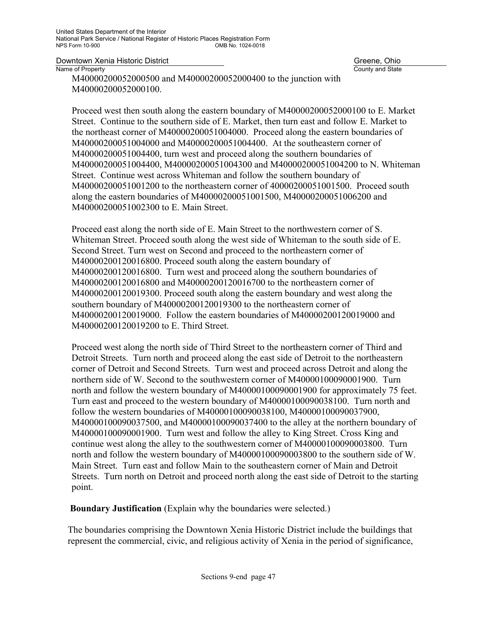County and State

M40000200052000500 and M40000200052000400 to the junction with M40000200052000100.

Proceed west then south along the eastern boundary of M40000200052000100 to E. Market Street. Continue to the southern side of E. Market, then turn east and follow E. Market to the northeast corner of M40000200051004000. Proceed along the eastern boundaries of M40000200051004000 and M40000200051004400. At the southeastern corner of M40000200051004400, turn west and proceed along the southern boundaries of M40000200051004400, M40000200051004300 and M40000200051004200 to N. Whiteman Street. Continue west across Whiteman and follow the southern boundary of M40000200051001200 to the northeastern corner of 40000200051001500. Proceed south along the eastern boundaries of M40000200051001500, M40000200051006200 and M40000200051002300 to E. Main Street.

Proceed east along the north side of E. Main Street to the northwestern corner of S. Whiteman Street. Proceed south along the west side of Whiteman to the south side of E. Second Street. Turn west on Second and proceed to the northeastern corner of M40000200120016800. Proceed south along the eastern boundary of M40000200120016800. Turn west and proceed along the southern boundaries of M40000200120016800 and M40000200120016700 to the northeastern corner of M40000200120019300. Proceed south along the eastern boundary and west along the southern boundary of M40000200120019300 to the northeastern corner of M40000200120019000. Follow the eastern boundaries of M40000200120019000 and M40000200120019200 to E. Third Street.

Proceed west along the north side of Third Street to the northeastern corner of Third and Detroit Streets. Turn north and proceed along the east side of Detroit to the northeastern corner of Detroit and Second Streets. Turn west and proceed across Detroit and along the northern side of W. Second to the southwestern corner of M40000100090001900. Turn north and follow the western boundary of M40000100090001900 for approximately 75 feet. Turn east and proceed to the western boundary of M40000100090038100. Turn north and follow the western boundaries of M40000100090038100, M40000100090037900, M40000100090037500, and M40000100090037400 to the alley at the northern boundary of M40000100090001900. Turn west and follow the alley to King Street. Cross King and continue west along the alley to the southwestern corner of M40000100090003800. Turn north and follow the western boundary of M40000100090003800 to the southern side of W. Main Street. Turn east and follow Main to the southeastern corner of Main and Detroit Streets. Turn north on Detroit and proceed north along the east side of Detroit to the starting point.

**Boundary Justification** (Explain why the boundaries were selected.)

The boundaries comprising the Downtown Xenia Historic District include the buildings that represent the commercial, civic, and religious activity of Xenia in the period of significance,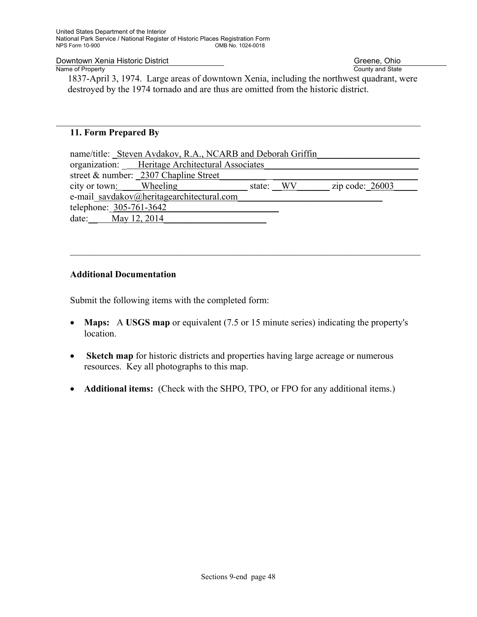Downtown Xenia Historic District<br>Name of Property

Greene, Ohio<br>County and State

1837-April 3, 1974. Large areas of downtown Xenia, including the northwest quadrant, were destroyed by the 1974 tornado and are thus are omitted from the historic district.

 $\mathcal{L}_\mathcal{L} = \mathcal{L}_\mathcal{L} = \mathcal{L}_\mathcal{L} = \mathcal{L}_\mathcal{L} = \mathcal{L}_\mathcal{L} = \mathcal{L}_\mathcal{L} = \mathcal{L}_\mathcal{L} = \mathcal{L}_\mathcal{L} = \mathcal{L}_\mathcal{L} = \mathcal{L}_\mathcal{L} = \mathcal{L}_\mathcal{L} = \mathcal{L}_\mathcal{L} = \mathcal{L}_\mathcal{L} = \mathcal{L}_\mathcal{L} = \mathcal{L}_\mathcal{L} = \mathcal{L}_\mathcal{L} = \mathcal{L}_\mathcal{L}$ 

#### **11. Form Prepared By**

| name/title: Steven Avdakov, R.A., NCARB and Deborah Griffin |  |           |                   |  |  |  |  |  |
|-------------------------------------------------------------|--|-----------|-------------------|--|--|--|--|--|
| organization: Heritage Architectural Associates             |  |           |                   |  |  |  |  |  |
| street & number: 2307 Chapline Street                       |  |           |                   |  |  |  |  |  |
| city or town: Wheeling                                      |  | state: WV | zip code: $26003$ |  |  |  |  |  |
| e-mail savdakov@heritagearchitectural.com                   |  |           |                   |  |  |  |  |  |
| telephone: 305-761-3642                                     |  |           |                   |  |  |  |  |  |
| date: May 12, 2014                                          |  |           |                   |  |  |  |  |  |
|                                                             |  |           |                   |  |  |  |  |  |

 $\_$  , and the contribution of the contribution of the contribution of the contribution of  $\mathcal{L}_\mathcal{A}$ 

#### **Additional Documentation**

Submit the following items with the completed form:

- **Maps:** A **USGS map** or equivalent (7.5 or 15 minute series) indicating the property's location.
- **Sketch map** for historic districts and properties having large acreage or numerous resources. Key all photographs to this map.
- **Additional items:** (Check with the SHPO, TPO, or FPO for any additional items.)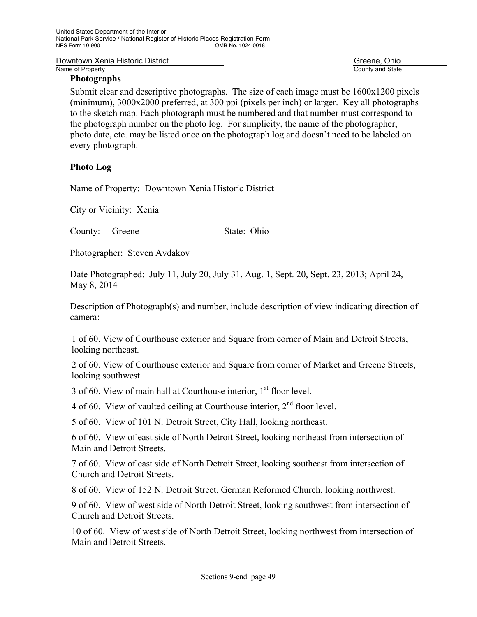#### **Photographs**

County and State

Submit clear and descriptive photographs. The size of each image must be  $1600x1200$  pixels (minimum), 3000x2000 preferred, at 300 ppi (pixels per inch) or larger. Key all photographs to the sketch map. Each photograph must be numbered and that number must correspond to the photograph number on the photo log. For simplicity, the name of the photographer, photo date, etc. may be listed once on the photograph log and doesn't need to be labeled on every photograph.

#### **Photo Log**

Name of Property: Downtown Xenia Historic District

City or Vicinity: Xenia

County: Greene State: Ohio

Photographer: Steven Avdakov

Date Photographed: July 11, July 20, July 31, Aug. 1, Sept. 20, Sept. 23, 2013; April 24, May 8, 2014

Description of Photograph(s) and number, include description of view indicating direction of camera:

1 of 60. View of Courthouse exterior and Square from corner of Main and Detroit Streets, looking northeast.

2 of 60. View of Courthouse exterior and Square from corner of Market and Greene Streets, looking southwest.

3 of 60. View of main hall at Courthouse interior, 1<sup>st</sup> floor level.

4 of 60. View of vaulted ceiling at Courthouse interior,  $2<sup>nd</sup>$  floor level.

5 of 60. View of 101 N. Detroit Street, City Hall, looking northeast.

6 of 60. View of east side of North Detroit Street, looking northeast from intersection of Main and Detroit Streets.

7 of 60. View of east side of North Detroit Street, looking southeast from intersection of Church and Detroit Streets.

8 of 60. View of 152 N. Detroit Street, German Reformed Church, looking northwest.

9 of 60. View of west side of North Detroit Street, looking southwest from intersection of Church and Detroit Streets.

10 of 60. View of west side of North Detroit Street, looking northwest from intersection of Main and Detroit Streets.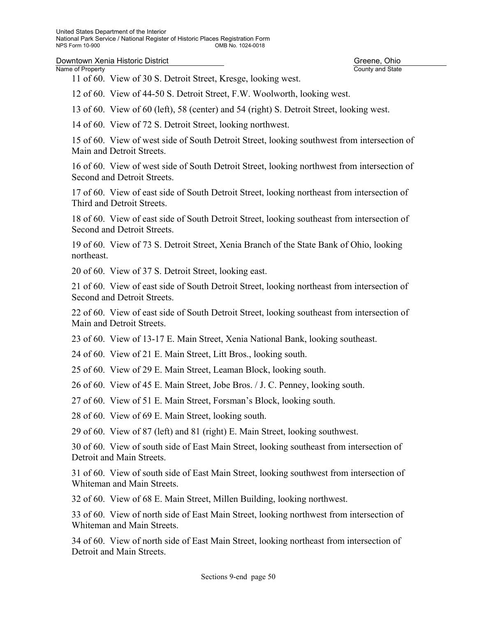11 of 60. View of 30 S. Detroit Street, Kresge, looking west.

12 of 60. View of 44-50 S. Detroit Street, F.W. Woolworth, looking west.

13 of 60. View of 60 (left), 58 (center) and 54 (right) S. Detroit Street, looking west.

14 of 60. View of 72 S. Detroit Street, looking northwest.

15 of 60. View of west side of South Detroit Street, looking southwest from intersection of Main and Detroit Streets.

16 of 60. View of west side of South Detroit Street, looking northwest from intersection of Second and Detroit Streets.

17 of 60. View of east side of South Detroit Street, looking northeast from intersection of Third and Detroit Streets.

18 of 60. View of east side of South Detroit Street, looking southeast from intersection of Second and Detroit Streets.

19 of 60. View of 73 S. Detroit Street, Xenia Branch of the State Bank of Ohio, looking northeast.

20 of 60. View of 37 S. Detroit Street, looking east.

21 of 60. View of east side of South Detroit Street, looking northeast from intersection of Second and Detroit Streets.

22 of 60. View of east side of South Detroit Street, looking southeast from intersection of Main and Detroit Streets.

23 of 60. View of 13-17 E. Main Street, Xenia National Bank, looking southeast.

24 of 60. View of 21 E. Main Street, Litt Bros., looking south.

25 of 60. View of 29 E. Main Street, Leaman Block, looking south.

26 of 60. View of 45 E. Main Street, Jobe Bros. / J. C. Penney, looking south.

27 of 60. View of 51 E. Main Street, Forsman's Block, looking south.

28 of 60. View of 69 E. Main Street, looking south.

29 of 60. View of 87 (left) and 81 (right) E. Main Street, looking southwest.

30 of 60. View of south side of East Main Street, looking southeast from intersection of Detroit and Main Streets.

31 of 60. View of south side of East Main Street, looking southwest from intersection of Whiteman and Main Streets.

32 of 60. View of 68 E. Main Street, Millen Building, looking northwest.

33 of 60. View of north side of East Main Street, looking northwest from intersection of Whiteman and Main Streets.

34 of 60. View of north side of East Main Street, looking northeast from intersection of Detroit and Main Streets.

County and State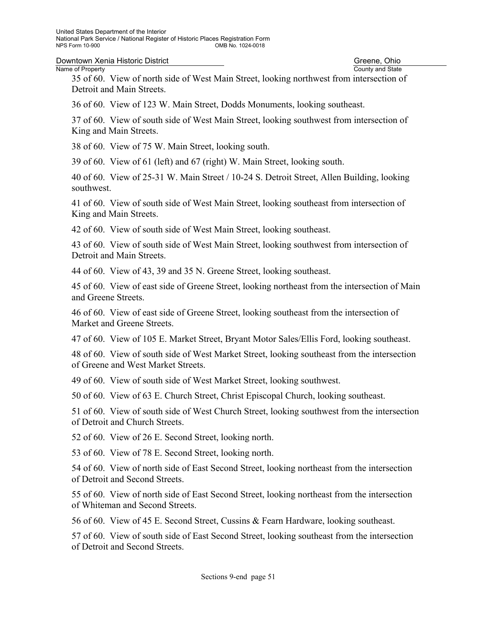**Downtown Xenia Historic District** Communication Communication Communication County and State County and State County and State County and State County and State County and State County and State County and State County an

# County and State

35 of 60. View of north side of West Main Street, looking northwest from intersection of Detroit and Main Streets.

36 of 60. View of 123 W. Main Street, Dodds Monuments, looking southeast.

37 of 60. View of south side of West Main Street, looking southwest from intersection of King and Main Streets.

38 of 60. View of 75 W. Main Street, looking south.

39 of 60. View of 61 (left) and 67 (right) W. Main Street, looking south.

40 of 60. View of 25-31 W. Main Street / 10-24 S. Detroit Street, Allen Building, looking southwest.

41 of 60. View of south side of West Main Street, looking southeast from intersection of King and Main Streets.

42 of 60. View of south side of West Main Street, looking southeast.

43 of 60. View of south side of West Main Street, looking southwest from intersection of Detroit and Main Streets.

44 of 60. View of 43, 39 and 35 N. Greene Street, looking southeast.

45 of 60. View of east side of Greene Street, looking northeast from the intersection of Main and Greene Streets.

46 of 60. View of east side of Greene Street, looking southeast from the intersection of Market and Greene Streets.

47 of 60. View of 105 E. Market Street, Bryant Motor Sales/Ellis Ford, looking southeast.

48 of 60. View of south side of West Market Street, looking southeast from the intersection of Greene and West Market Streets.

49 of 60. View of south side of West Market Street, looking southwest.

50 of 60. View of 63 E. Church Street, Christ Episcopal Church, looking southeast.

51 of 60. View of south side of West Church Street, looking southwest from the intersection of Detroit and Church Streets.

52 of 60. View of 26 E. Second Street, looking north.

53 of 60. View of 78 E. Second Street, looking north.

54 of 60. View of north side of East Second Street, looking northeast from the intersection of Detroit and Second Streets.

55 of 60. View of north side of East Second Street, looking northeast from the intersection of Whiteman and Second Streets.

56 of 60. View of 45 E. Second Street, Cussins & Fearn Hardware, looking southeast.

57 of 60. View of south side of East Second Street, looking southeast from the intersection of Detroit and Second Streets.